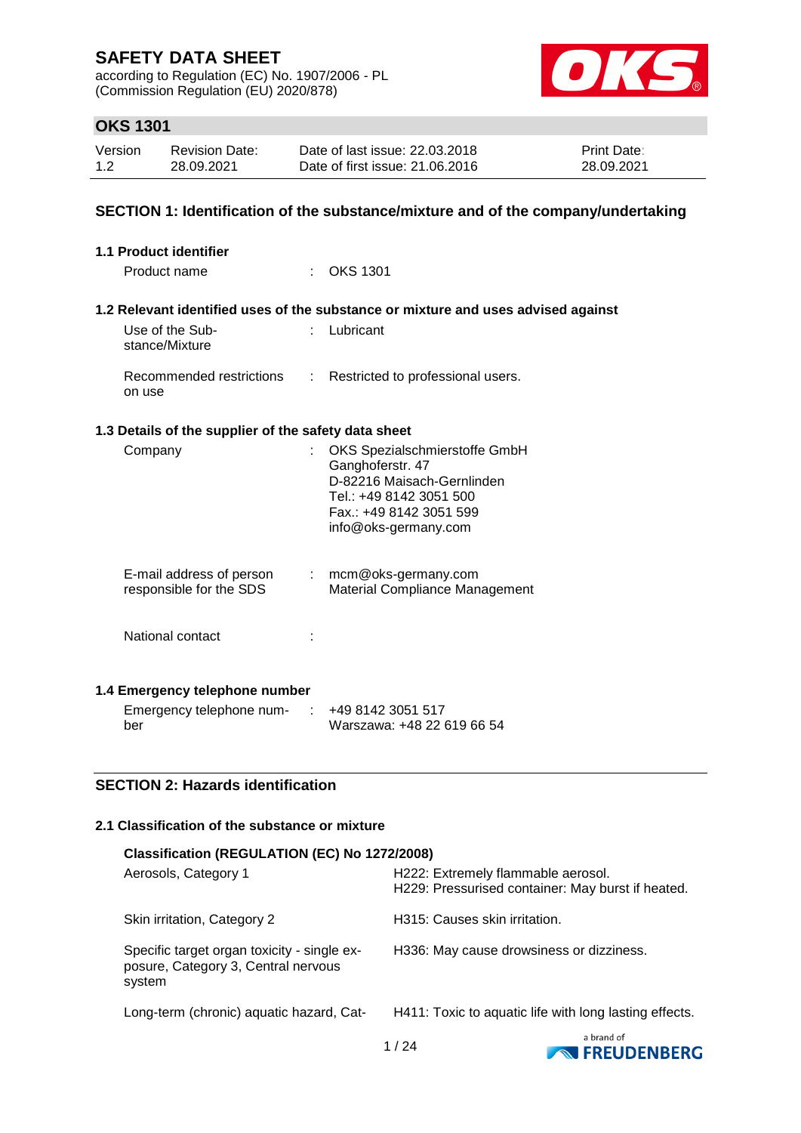according to Regulation (EC) No. 1907/2006 - PL (Commission Regulation (EU) 2020/878)



### **OKS 1301**

| Version | <b>Revision Date:</b> | Date of last issue: 22.03.2018  | <b>Print Date:</b> |
|---------|-----------------------|---------------------------------|--------------------|
| 1.2     | 28.09.2021            | Date of first issue: 21,06,2016 | 28.09.2021         |

### **SECTION 1: Identification of the substance/mixture and of the company/undertaking**

| <b>1.1 Product identifier</b>                                                     |                                                                                                                                                               |
|-----------------------------------------------------------------------------------|---------------------------------------------------------------------------------------------------------------------------------------------------------------|
| Product name                                                                      | : OKS 1301                                                                                                                                                    |
|                                                                                   | 1.2 Relevant identified uses of the substance or mixture and uses advised against                                                                             |
| Use of the Sub-<br>t.<br>stance/Mixture                                           | Lubricant                                                                                                                                                     |
| Recommended restrictions<br>on use                                                | : Restricted to professional users.                                                                                                                           |
| 1.3 Details of the supplier of the safety data sheet                              |                                                                                                                                                               |
| Company                                                                           | OKS Spezialschmierstoffe GmbH<br>Ganghoferstr. 47<br>D-82216 Maisach-Gernlinden<br>Tel.: +49 8142 3051 500<br>Fax.: +49 8142 3051 599<br>info@oks-germany.com |
| E-mail address of person<br>$\mathcal{L}^{\text{max}}$<br>responsible for the SDS | mcm@oks-germany.com<br>Material Compliance Management                                                                                                         |
| National contact                                                                  |                                                                                                                                                               |
| 1.4 Emergency telephone number                                                    |                                                                                                                                                               |
| Emergency telephone num- $\cdot$ +49 8142 3051 517                                |                                                                                                                                                               |

### **SECTION 2: Hazards identification**

ber

### **2.1 Classification of the substance or mixture**

| Classification (REGULATION (EC) No 1272/2008)                                                |                                                                                         |
|----------------------------------------------------------------------------------------------|-----------------------------------------------------------------------------------------|
| Aerosols, Category 1                                                                         | H222: Extremely flammable aerosol.<br>H229: Pressurised container: May burst if heated. |
| Skin irritation, Category 2                                                                  | H315: Causes skin irritation.                                                           |
| Specific target organ toxicity - single ex-<br>posure, Category 3, Central nervous<br>system | H336: May cause drowsiness or dizziness.                                                |
| Long-term (chronic) aquatic hazard, Cat-                                                     | H411: Toxic to aquatic life with long lasting effects.                                  |
|                                                                                              | a brand of                                                                              |

Warszawa: +48 22 619 66 54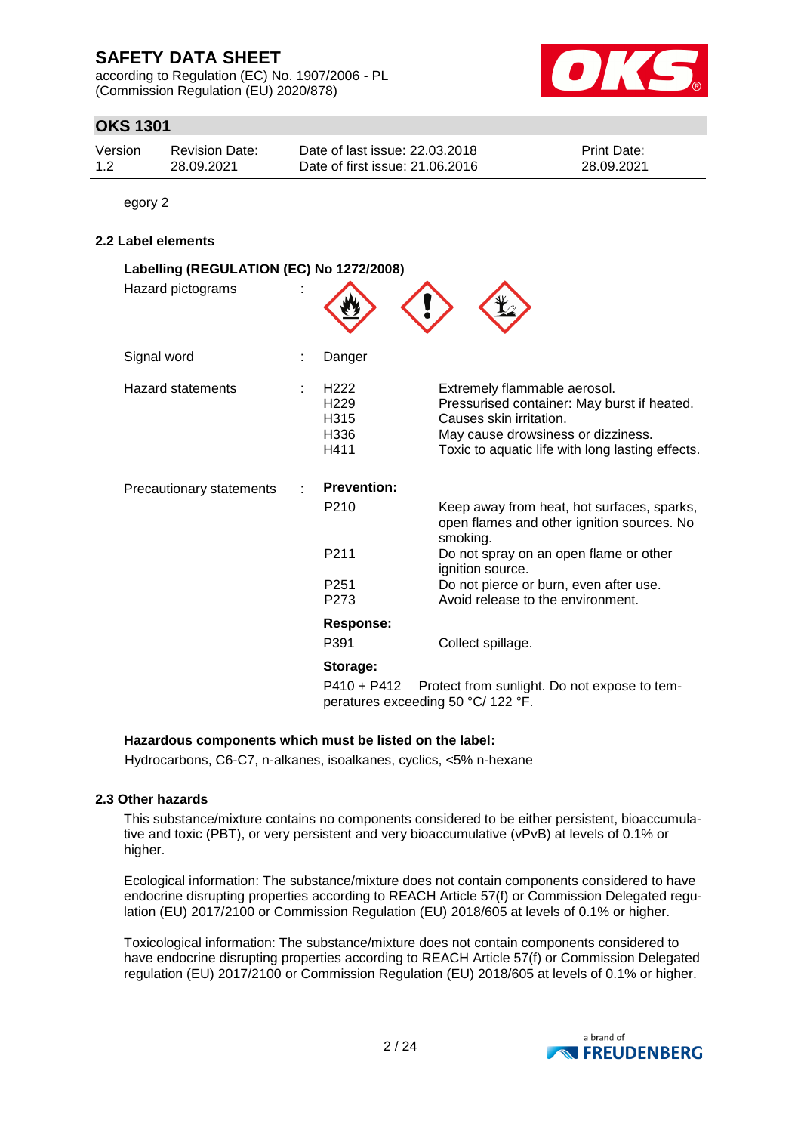according to Regulation (EC) No. 1907/2006 - PL (Commission Regulation (EU) 2020/878)



### **OKS 1301**

| Version | <b>Revision Date:</b> | Date of last issue: 22.03.2018  | <b>Print Date:</b> |
|---------|-----------------------|---------------------------------|--------------------|
| 1.2     | 28.09.2021            | Date of first issue: 21,06,2016 | 28.09.2021         |

egory 2

#### **2.2 Label elements**

| Labelling (REGULATION (EC) No 1272/2008) |                                                  |                                                                                                                                                                                                  |
|------------------------------------------|--------------------------------------------------|--------------------------------------------------------------------------------------------------------------------------------------------------------------------------------------------------|
| Hazard pictograms                        |                                                  |                                                                                                                                                                                                  |
| Signal word                              | Danger                                           |                                                                                                                                                                                                  |
| <b>Hazard statements</b>                 | H <sub>222</sub><br>H229<br>H315<br>H336<br>H411 | Extremely flammable aerosol.<br>Pressurised container: May burst if heated.<br>Causes skin irritation.<br>May cause drowsiness or dizziness.<br>Toxic to aquatic life with long lasting effects. |
| Precautionary statements                 | <b>Prevention:</b>                               |                                                                                                                                                                                                  |
|                                          | P <sub>210</sub>                                 | Keep away from heat, hot surfaces, sparks,<br>open flames and other ignition sources. No<br>smoking.                                                                                             |
|                                          | P <sub>2</sub> 11                                | Do not spray on an open flame or other<br>ignition source.                                                                                                                                       |
|                                          | P <sub>251</sub>                                 | Do not pierce or burn, even after use.                                                                                                                                                           |
|                                          | P273                                             | Avoid release to the environment.                                                                                                                                                                |
|                                          | Response:                                        |                                                                                                                                                                                                  |
|                                          | P391                                             | Collect spillage.                                                                                                                                                                                |
|                                          | Storage:                                         |                                                                                                                                                                                                  |
|                                          | $P410 + P412$                                    | Protect from sunlight. Do not expose to tem-<br>peratures exceeding 50 °C/ 122 °F.                                                                                                               |

#### **Hazardous components which must be listed on the label:**

Hydrocarbons, C6-C7, n-alkanes, isoalkanes, cyclics, <5% n-hexane

#### **2.3 Other hazards**

This substance/mixture contains no components considered to be either persistent, bioaccumulative and toxic (PBT), or very persistent and very bioaccumulative (vPvB) at levels of 0.1% or higher.

Ecological information: The substance/mixture does not contain components considered to have endocrine disrupting properties according to REACH Article 57(f) or Commission Delegated regulation (EU) 2017/2100 or Commission Regulation (EU) 2018/605 at levels of 0.1% or higher.

Toxicological information: The substance/mixture does not contain components considered to have endocrine disrupting properties according to REACH Article 57(f) or Commission Delegated regulation (EU) 2017/2100 or Commission Regulation (EU) 2018/605 at levels of 0.1% or higher.

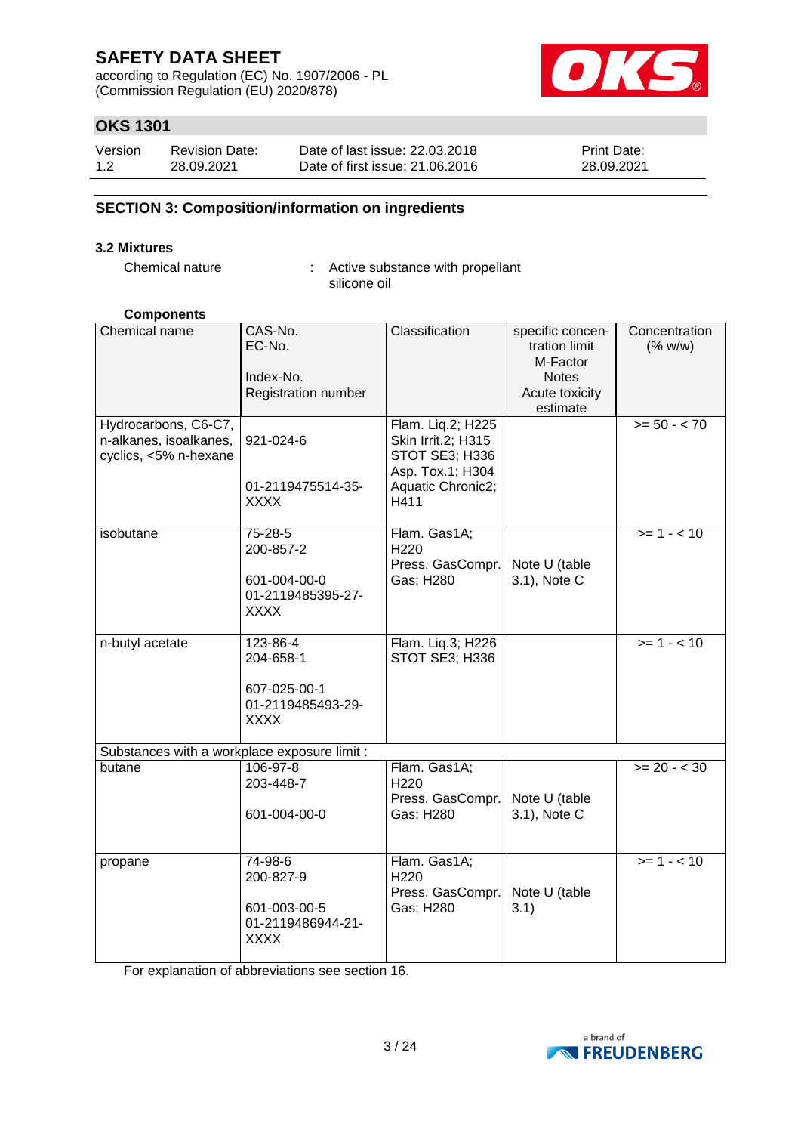according to Regulation (EC) No. 1907/2006 - PL (Commission Regulation (EU) 2020/878)



### **OKS 1301**

| Version | <b>Revision Date:</b> | Date of last issue: 22,03,2018  | <b>Print Date:</b> |
|---------|-----------------------|---------------------------------|--------------------|
| 1.2     | 28.09.2021            | Date of first issue: 21,06,2016 | 28.09.2021         |

### **SECTION 3: Composition/information on ingredients**

#### **3.2 Mixtures**

Chemical nature : Active substance with propellant silicone oil

#### **Components**

| Chemical name<br>Hydrocarbons, C6-C7,<br>n-alkanes, isoalkanes,<br>cyclics, <5% n-hexane | CAS-No.<br>EC-No.<br>Index-No.<br>Registration number<br>921-024-6<br>01-2119475514-35- | Classification<br>Flam. Liq.2; H225<br>Skin Irrit.2; H315<br>STOT SE3; H336<br>Asp. Tox.1; H304<br>Aquatic Chronic2; | specific concen-<br>tration limit<br>M-Factor<br><b>Notes</b><br>Acute toxicity<br>estimate | Concentration<br>(% w/w)<br>$>= 50 - 70$ |
|------------------------------------------------------------------------------------------|-----------------------------------------------------------------------------------------|----------------------------------------------------------------------------------------------------------------------|---------------------------------------------------------------------------------------------|------------------------------------------|
|                                                                                          | XXXX                                                                                    | H411                                                                                                                 |                                                                                             |                                          |
| isobutane                                                                                | 75-28-5<br>200-857-2<br>601-004-00-0<br>01-2119485395-27-<br><b>XXXX</b>                | Flam. Gas1A;<br>H220<br>Press. GasCompr.<br>Gas; H280                                                                | Note U (table<br>3.1), Note C                                                               | $>= 1 - 10$                              |
| n-butyl acetate                                                                          | 123-86-4<br>204-658-1<br>607-025-00-1<br>01-2119485493-29-<br><b>XXXX</b>               | Flam. Liq.3; H226<br>STOT SE3; H336                                                                                  |                                                                                             | $>= 1 - 10$                              |
| Substances with a workplace exposure limit :                                             |                                                                                         |                                                                                                                      |                                                                                             |                                          |
| butane                                                                                   | 106-97-8<br>203-448-7<br>601-004-00-0                                                   | Flam. Gas1A;<br>H220<br>Press. GasCompr.<br>Gas; H280                                                                | Note U (table<br>3.1), Note C                                                               | $>= 20 - < 30$                           |
| propane                                                                                  | 74-98-6<br>200-827-9<br>601-003-00-5<br>01-2119486944-21-<br><b>XXXX</b>                | Flam. Gas1A;<br>H <sub>220</sub><br>Press. GasCompr.<br>Gas; H280                                                    | Note U (table<br>3.1)                                                                       | $>= 1 - 10$                              |

For explanation of abbreviations see section 16.

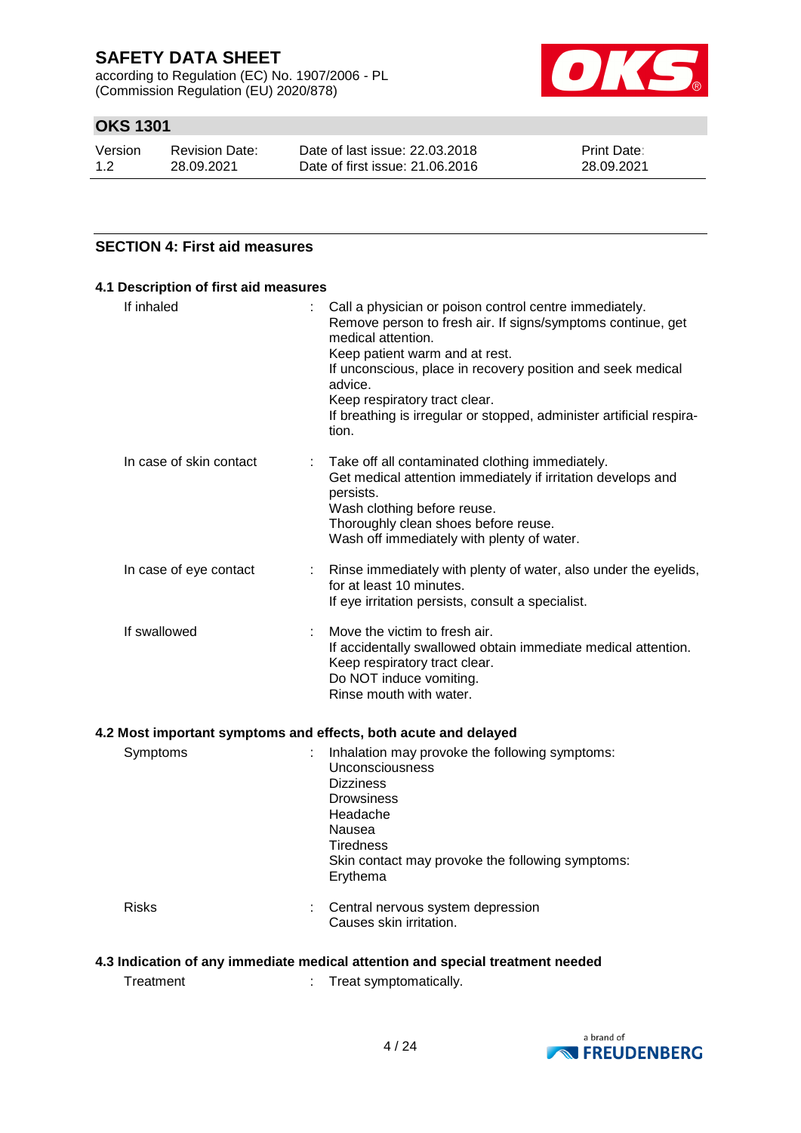according to Regulation (EC) No. 1907/2006 - PL (Commission Regulation (EU) 2020/878)



### **OKS 1301**

| Version | <b>Revision Date:</b> | Date of last issue: 22,03,2018  | <b>Print Date:</b> |
|---------|-----------------------|---------------------------------|--------------------|
| 1.2     | 28.09.2021            | Date of first issue: 21,06,2016 | 28.09.2021         |

### **SECTION 4: First aid measures**

| If inhaled              | Call a physician or poison control centre immediately.<br>Remove person to fresh air. If signs/symptoms continue, get<br>medical attention.<br>Keep patient warm and at rest.<br>If unconscious, place in recovery position and seek medical<br>advice.<br>Keep respiratory tract clear.<br>If breathing is irregular or stopped, administer artificial respira-<br>tion. |
|-------------------------|---------------------------------------------------------------------------------------------------------------------------------------------------------------------------------------------------------------------------------------------------------------------------------------------------------------------------------------------------------------------------|
| In case of skin contact | Take off all contaminated clothing immediately.<br>Get medical attention immediately if irritation develops and<br>persists.<br>Wash clothing before reuse.<br>Thoroughly clean shoes before reuse.<br>Wash off immediately with plenty of water.                                                                                                                         |
| In case of eye contact  | Rinse immediately with plenty of water, also under the eyelids,<br>for at least 10 minutes.<br>If eye irritation persists, consult a specialist.                                                                                                                                                                                                                          |
| If swallowed            | Move the victim to fresh air.<br>If accidentally swallowed obtain immediate medical attention.<br>Keep respiratory tract clear.<br>Do NOT induce vomiting.<br>Rinse mouth with water.                                                                                                                                                                                     |

### **4.2 Most important symptoms and effects, both acute and delayed**

| Symptoms     | Inhalation may provoke the following symptoms:<br>Unconsciousness<br><b>Dizziness</b><br><b>Drowsiness</b><br>Headache<br>Nausea<br>Tiredness<br>Skin contact may provoke the following symptoms:<br>Erythema |
|--------------|---------------------------------------------------------------------------------------------------------------------------------------------------------------------------------------------------------------|
| <b>Risks</b> | Central nervous system depression<br>Causes skin irritation.                                                                                                                                                  |

### **4.3 Indication of any immediate medical attention and special treatment needed**

Treatment : Treat symptomatically.

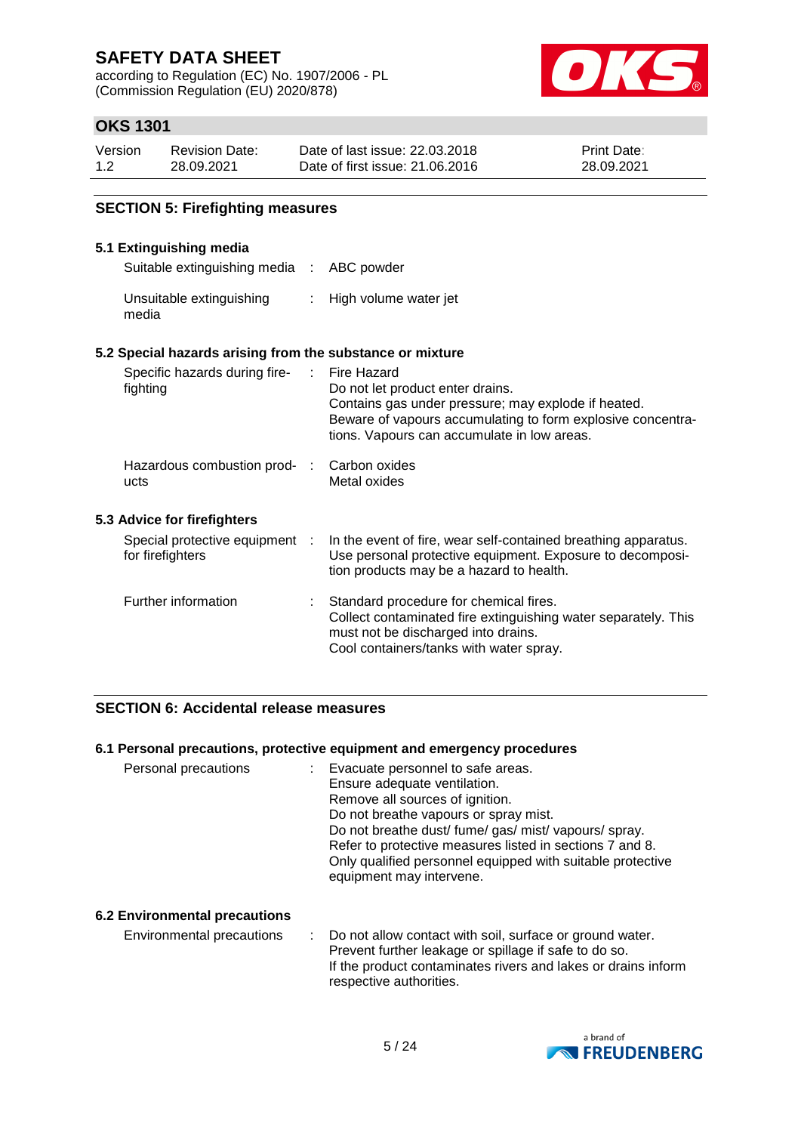according to Regulation (EC) No. 1907/2006 - PL (Commission Regulation (EU) 2020/878)



### **OKS 1301**

| Version | <b>Revision Date:</b> | Date of last issue: 22.03.2018  | <b>Print Date:</b> |
|---------|-----------------------|---------------------------------|--------------------|
| 1.2     | 28.09.2021            | Date of first issue: 21,06,2016 | 28.09.2021         |

### **SECTION 5: Firefighting measures**

### **5.1 Extinguishing media**

Suitable extinguishing media : ABC powder

| Unsuitable extinguishing | High volume water jet |
|--------------------------|-----------------------|
| media                    |                       |

#### **5.2 Special hazards arising from the substance or mixture**

| Specific hazards during fire-<br>fighting          | Fire Hazard<br>Do not let product enter drains.<br>Contains gas under pressure; may explode if heated.<br>Beware of vapours accumulating to form explosive concentra-<br>tions. Vapours can accumulate in low areas. |
|----------------------------------------------------|----------------------------------------------------------------------------------------------------------------------------------------------------------------------------------------------------------------------|
| Hazardous combustion prod- :<br>ucts               | Carbon oxides<br>Metal oxides                                                                                                                                                                                        |
| 5.3 Advice for firefighters                        |                                                                                                                                                                                                                      |
| Special protective equipment :<br>for firefighters | In the event of fire, wear self-contained breathing apparatus.<br>Use personal protective equipment. Exposure to decomposi-<br>tion products may be a hazard to health.                                              |
| Further information                                | : Standard procedure for chemical fires.<br>Collect contaminated fire extinguishing water separately. This<br>must not be discharged into drains.<br>Cool containers/tanks with water spray.                         |

### **SECTION 6: Accidental release measures**

#### **6.1 Personal precautions, protective equipment and emergency procedures**

| Personal precautions | Evacuate personnel to safe areas.<br>Ensure adequate ventilation.<br>Remove all sources of ignition.<br>Do not breathe vapours or spray mist.<br>Do not breathe dust/ fume/ gas/ mist/ vapours/ spray.<br>Refer to protective measures listed in sections 7 and 8. |
|----------------------|--------------------------------------------------------------------------------------------------------------------------------------------------------------------------------------------------------------------------------------------------------------------|
|                      | Only qualified personnel equipped with suitable protective<br>equipment may intervene.                                                                                                                                                                             |

### **6.2 Environmental precautions**

Environmental precautions : Do not allow contact with soil, surface or ground water. Prevent further leakage or spillage if safe to do so. If the product contaminates rivers and lakes or drains inform respective authorities.

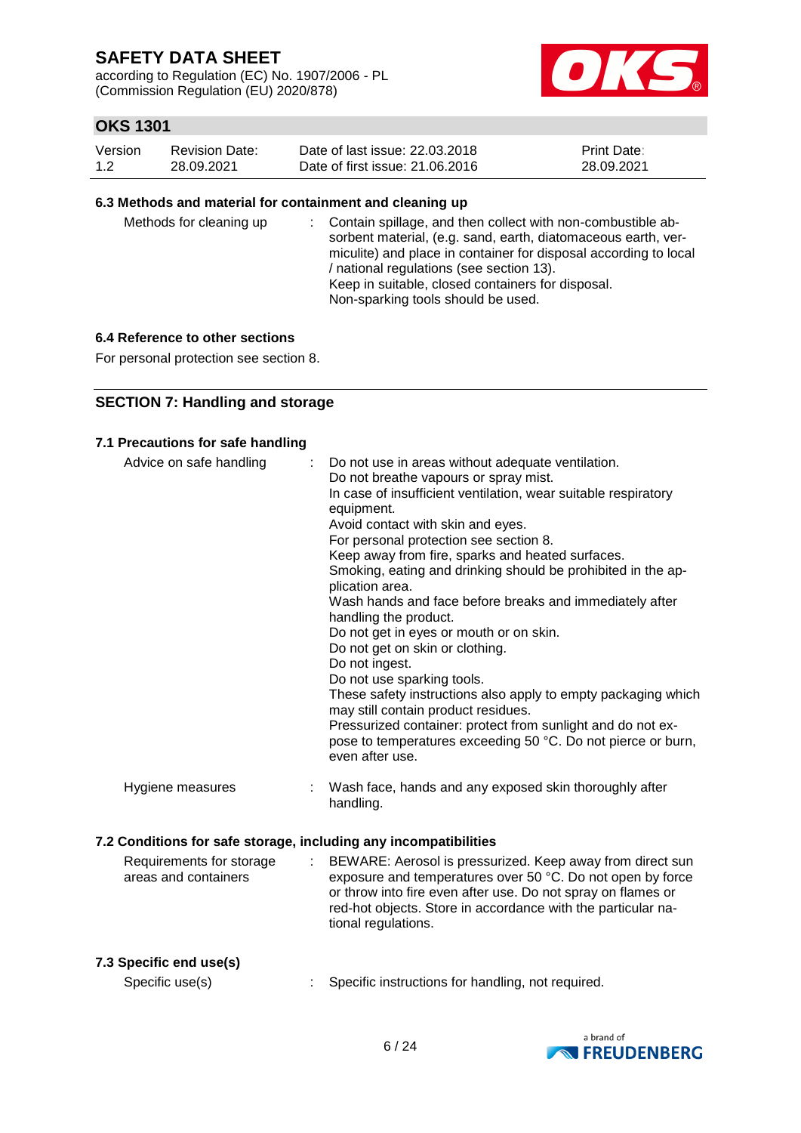according to Regulation (EC) No. 1907/2006 - PL (Commission Regulation (EU) 2020/878)



### **OKS 1301**

| Version | Revision Date: | Date of last issue: 22,03,2018  | <b>Print Date:</b> |
|---------|----------------|---------------------------------|--------------------|
| 1.2     | 28.09.2021     | Date of first issue: 21,06,2016 | 28.09.2021         |

#### **6.3 Methods and material for containment and cleaning up**

| Methods for cleaning up |  | : Contain spillage, and then collect with non-combustible ab-<br>sorbent material, (e.g. sand, earth, diatomaceous earth, ver-<br>miculite) and place in container for disposal according to local<br>/ national regulations (see section 13).<br>Keep in suitable, closed containers for disposal.<br>Non-sparking tools should be used. |
|-------------------------|--|-------------------------------------------------------------------------------------------------------------------------------------------------------------------------------------------------------------------------------------------------------------------------------------------------------------------------------------------|
|-------------------------|--|-------------------------------------------------------------------------------------------------------------------------------------------------------------------------------------------------------------------------------------------------------------------------------------------------------------------------------------------|

### **6.4 Reference to other sections**

For personal protection see section 8.

### **SECTION 7: Handling and storage**

#### **7.1 Precautions for safe handling**

| Advice on safe handling                                          |   | Do not use in areas without adequate ventilation.<br>Do not breathe vapours or spray mist.<br>In case of insufficient ventilation, wear suitable respiratory<br>equipment.<br>Avoid contact with skin and eyes.<br>For personal protection see section 8.<br>Keep away from fire, sparks and heated surfaces.<br>Smoking, eating and drinking should be prohibited in the ap-<br>plication area.<br>Wash hands and face before breaks and immediately after<br>handling the product.<br>Do not get in eyes or mouth or on skin.<br>Do not get on skin or clothing.<br>Do not ingest.<br>Do not use sparking tools.<br>These safety instructions also apply to empty packaging which<br>may still contain product residues.<br>Pressurized container: protect from sunlight and do not ex-<br>pose to temperatures exceeding 50 °C. Do not pierce or burn,<br>even after use. |
|------------------------------------------------------------------|---|------------------------------------------------------------------------------------------------------------------------------------------------------------------------------------------------------------------------------------------------------------------------------------------------------------------------------------------------------------------------------------------------------------------------------------------------------------------------------------------------------------------------------------------------------------------------------------------------------------------------------------------------------------------------------------------------------------------------------------------------------------------------------------------------------------------------------------------------------------------------------|
| Hygiene measures                                                 |   | Wash face, hands and any exposed skin thoroughly after<br>handling.                                                                                                                                                                                                                                                                                                                                                                                                                                                                                                                                                                                                                                                                                                                                                                                                          |
| 7.2 Conditions for safe storage, including any incompatibilities |   |                                                                                                                                                                                                                                                                                                                                                                                                                                                                                                                                                                                                                                                                                                                                                                                                                                                                              |
| Requirements for storage<br>areas and containers                 | ÷ | BEWARE: Aerosol is pressurized. Keep away from direct sun<br>exposure and temperatures over 50 °C. Do not open by force<br>or throw into fire even after use. Do not spray on flames or<br>red-hot objects. Store in accordance with the particular na-<br>tional regulations.                                                                                                                                                                                                                                                                                                                                                                                                                                                                                                                                                                                               |

#### **7.3 Specific end use(s)**

Specific use(s) : Specific instructions for handling, not required.

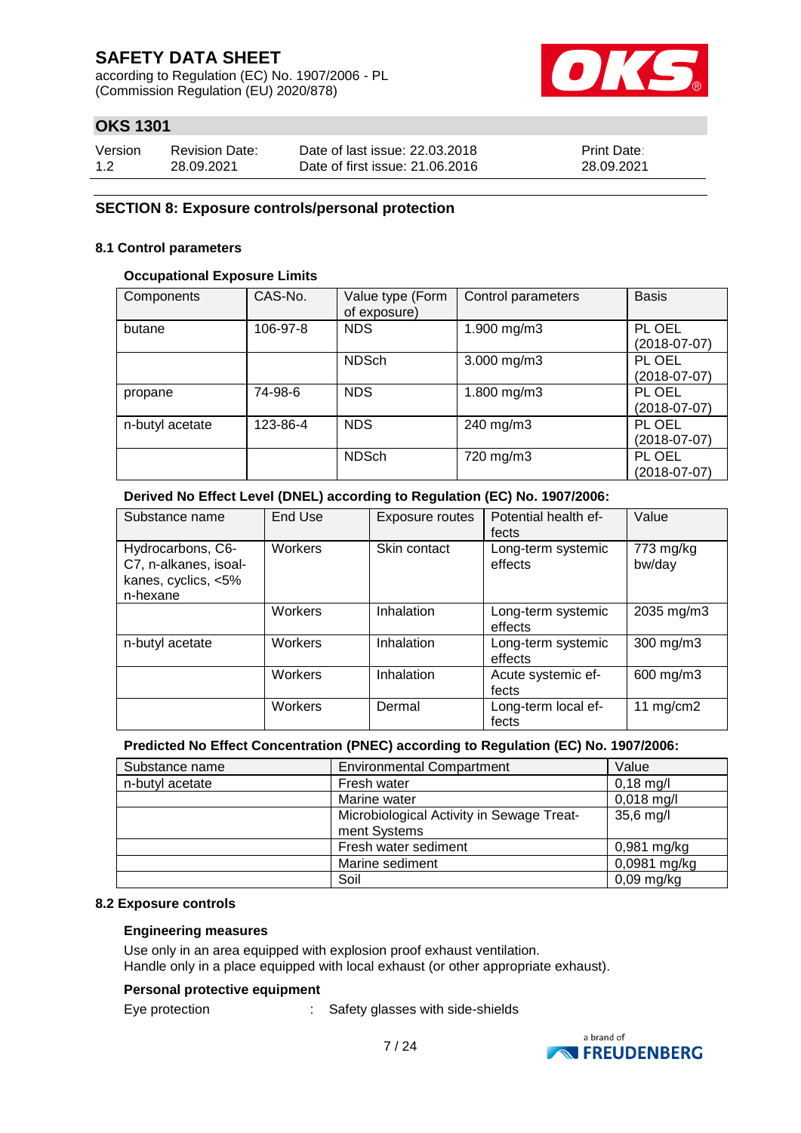according to Regulation (EC) No. 1907/2006 - PL (Commission Regulation (EU) 2020/878)



### **OKS 1301**

| Version | <b>Revision Date:</b> | Date of last issue: 22,03,2018  | <b>Print Date:</b> |
|---------|-----------------------|---------------------------------|--------------------|
| 1.2     | 28.09.2021            | Date of first issue: 21,06,2016 | 28.09.2021         |

#### **SECTION 8: Exposure controls/personal protection**

#### **8.1 Control parameters**

#### **Occupational Exposure Limits**

| Components      | CAS-No.  | Value type (Form<br>of exposure) | Control parameters | <b>Basis</b>             |
|-----------------|----------|----------------------------------|--------------------|--------------------------|
| butane          | 106-97-8 | <b>NDS</b>                       | 1.900 mg/m3        | PL OEL<br>$(2018-07-07)$ |
|                 |          | <b>NDSch</b>                     | $3.000$ mg/m $3$   | PL OEL<br>$(2018-07-07)$ |
| propane         | 74-98-6  | <b>NDS</b>                       | 1.800 mg/m3        | PL OEL<br>$(2018-07-07)$ |
| n-butyl acetate | 123-86-4 | <b>NDS</b>                       | 240 mg/m3          | PL OEL<br>$(2018-07-07)$ |
|                 |          | <b>NDSch</b>                     | 720 mg/m3          | PL OEL<br>$(2018-07-07)$ |

### **Derived No Effect Level (DNEL) according to Regulation (EC) No. 1907/2006:**

| Substance name                                                                | End Use | Exposure routes | Potential health ef-<br>fects | Value               |
|-------------------------------------------------------------------------------|---------|-----------------|-------------------------------|---------------------|
| Hydrocarbons, C6-<br>C7, n-alkanes, isoal-<br>kanes, cyclics, <5%<br>n-hexane | Workers | Skin contact    | Long-term systemic<br>effects | 773 mg/kg<br>bw/day |
|                                                                               | Workers | Inhalation      | Long-term systemic<br>effects | 2035 mg/m3          |
| n-butyl acetate                                                               | Workers | Inhalation      | Long-term systemic<br>effects | 300 mg/m3           |
|                                                                               | Workers | Inhalation      | Acute systemic ef-<br>fects   | 600 mg/m3           |
|                                                                               | Workers | Dermal          | Long-term local ef-<br>fects  | 11 $mg/cm2$         |

### **Predicted No Effect Concentration (PNEC) according to Regulation (EC) No. 1907/2006:**

| Substance name  | <b>Environmental Compartment</b>          | Value         |
|-----------------|-------------------------------------------|---------------|
| n-butyl acetate | Fresh water                               | $0,18$ mg/l   |
|                 | Marine water                              | $0,018$ mg/l  |
|                 | Microbiological Activity in Sewage Treat- | 35,6 mg/l     |
|                 | ment Systems                              |               |
|                 | Fresh water sediment                      | $0,981$ mg/kg |
|                 | Marine sediment                           | 0,0981 mg/kg  |
|                 | Soil                                      | $0,09$ mg/kg  |

#### **8.2 Exposure controls**

#### **Engineering measures**

Use only in an area equipped with explosion proof exhaust ventilation. Handle only in a place equipped with local exhaust (or other appropriate exhaust).

#### **Personal protective equipment**

Eye protection : Safety glasses with side-shields

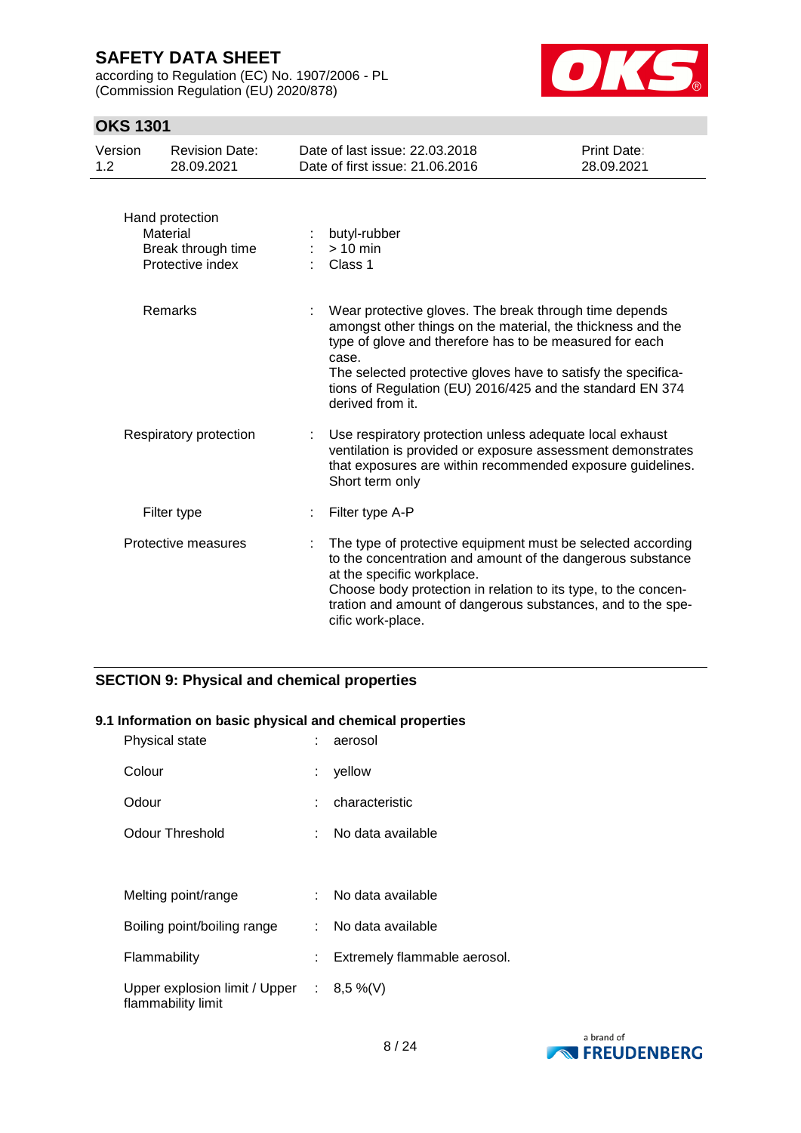according to Regulation (EC) No. 1907/2006 - PL (Commission Regulation (EU) 2020/878)



### **OKS 1301**

| Version<br>1.2 | <b>Revision Date:</b><br>28.09.2021                                   |   | Date of last issue: 22.03.2018<br>Date of first issue: 21.06.2016                                                                                                                                                                                                                                                                           | Print Date:<br>28.09.2021 |
|----------------|-----------------------------------------------------------------------|---|---------------------------------------------------------------------------------------------------------------------------------------------------------------------------------------------------------------------------------------------------------------------------------------------------------------------------------------------|---------------------------|
|                | Hand protection<br>Material<br>Break through time<br>Protective index |   | butyl-rubber<br>$> 10$ min<br>Class 1                                                                                                                                                                                                                                                                                                       |                           |
|                | Remarks                                                               |   | Wear protective gloves. The break through time depends<br>amongst other things on the material, the thickness and the<br>type of glove and therefore has to be measured for each<br>case.<br>The selected protective gloves have to satisfy the specifica-<br>tions of Regulation (EU) 2016/425 and the standard EN 374<br>derived from it. |                           |
|                | Respiratory protection                                                | ÷ | Use respiratory protection unless adequate local exhaust<br>ventilation is provided or exposure assessment demonstrates<br>that exposures are within recommended exposure guidelines.<br>Short term only                                                                                                                                    |                           |
|                | Filter type                                                           |   | Filter type A-P                                                                                                                                                                                                                                                                                                                             |                           |
|                | Protective measures                                                   |   | The type of protective equipment must be selected according<br>to the concentration and amount of the dangerous substance<br>at the specific workplace.<br>Choose body protection in relation to its type, to the concen-<br>tration and amount of dangerous substances, and to the spe-<br>cific work-place.                               |                           |

### **SECTION 9: Physical and chemical properties**

### **9.1 Information on basic physical and chemical properties**

| Physical state                                                    | aerosol                      |
|-------------------------------------------------------------------|------------------------------|
| Colour                                                            | yellow                       |
| Odour                                                             | characteristic               |
| Odour Threshold                                                   | No data available            |
|                                                                   |                              |
| Melting point/range                                               | No data available            |
| Boiling point/boiling range                                       | : No data available          |
| Flammability                                                      | Extremely flammable aerosol. |
| Upper explosion limit / Upper : $8,5\%$ (V)<br>flammability limit |                              |

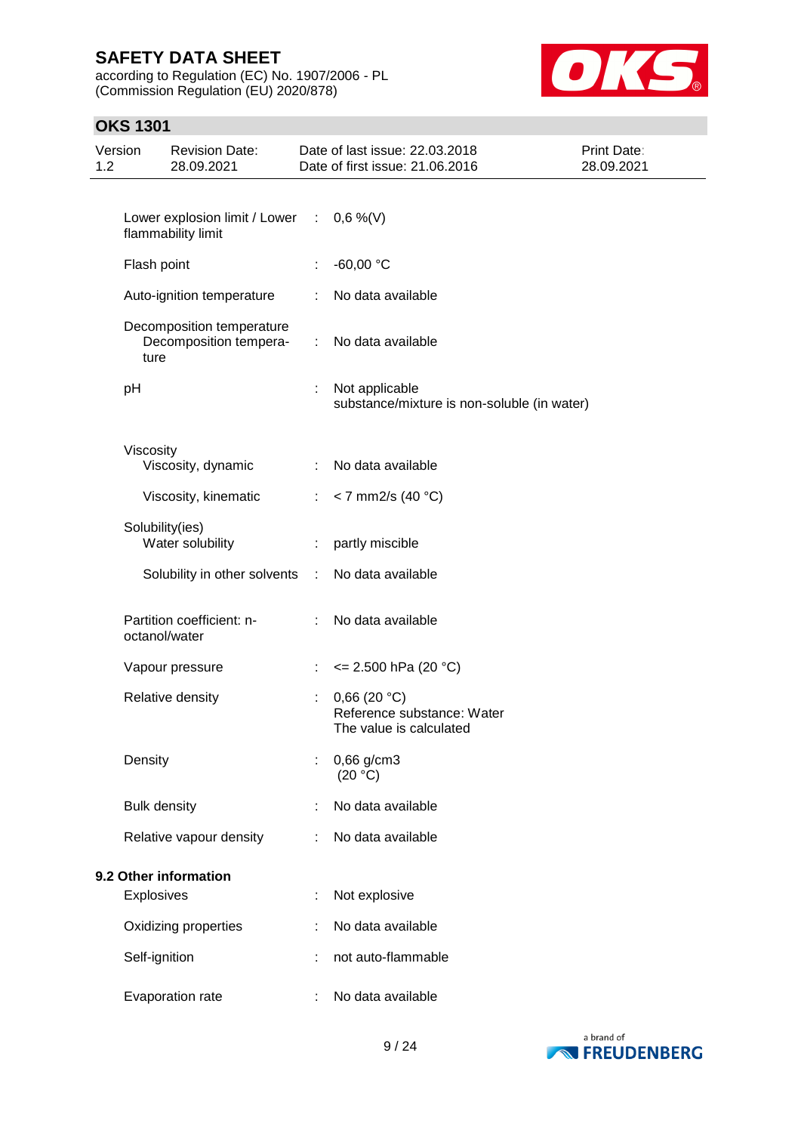according to Regulation (EC) No. 1907/2006 - PL (Commission Regulation (EU) 2020/878)



### **OKS 1301**

| Version<br>1.2 |                     | <b>Revision Date:</b><br>28.09.2021                               |                               | Date of last issue: 22.03.2018<br>Date of first issue: 21.06.2016    | Print Date:<br>28.09.2021 |
|----------------|---------------------|-------------------------------------------------------------------|-------------------------------|----------------------------------------------------------------------|---------------------------|
|                |                     |                                                                   |                               |                                                                      |                           |
|                |                     | Lower explosion limit / Lower : $0,6\%$ (V)<br>flammability limit |                               |                                                                      |                           |
|                | Flash point         |                                                                   | t,                            | $-60,00 °C$                                                          |                           |
|                |                     | Auto-ignition temperature                                         | ÷                             | No data available                                                    |                           |
|                | ture                | Decomposition temperature<br>Decomposition tempera-               | $\mathcal{I}^{\mathcal{I}}$ . | No data available                                                    |                           |
|                | pH                  |                                                                   | ÷                             | Not applicable<br>substance/mixture is non-soluble (in water)        |                           |
|                | Viscosity           | Viscosity, dynamic                                                | ÷                             | No data available                                                    |                           |
|                |                     | Viscosity, kinematic                                              | $\mathcal{L}^{\mathcal{L}}$   | $<$ 7 mm2/s (40 °C)                                                  |                           |
|                |                     | Solubility(ies)<br>Water solubility                               | ÷                             | partly miscible                                                      |                           |
|                |                     | Solubility in other solvents                                      | $\sim 10$                     | No data available                                                    |                           |
|                |                     | Partition coefficient: n-<br>octanol/water                        | $\mathbb{R}^n$                | No data available                                                    |                           |
|                |                     | Vapour pressure                                                   | ÷                             | $\leq$ 2.500 hPa (20 °C)                                             |                           |
|                |                     | Relative density                                                  |                               | 0,66(20 °C)<br>Reference substance: Water<br>The value is calculated |                           |
|                | Density             |                                                                   |                               | 0,66 g/cm3<br>(20 °C)                                                |                           |
|                | <b>Bulk density</b> |                                                                   |                               | No data available                                                    |                           |
|                |                     | Relative vapour density                                           | ÷                             | No data available                                                    |                           |
|                |                     | 9.2 Other information                                             |                               |                                                                      |                           |
|                | <b>Explosives</b>   |                                                                   | t                             | Not explosive                                                        |                           |
|                |                     | Oxidizing properties                                              |                               | No data available                                                    |                           |
|                | Self-ignition       |                                                                   |                               | not auto-flammable                                                   |                           |
|                |                     | Evaporation rate                                                  | ÷                             | No data available                                                    |                           |

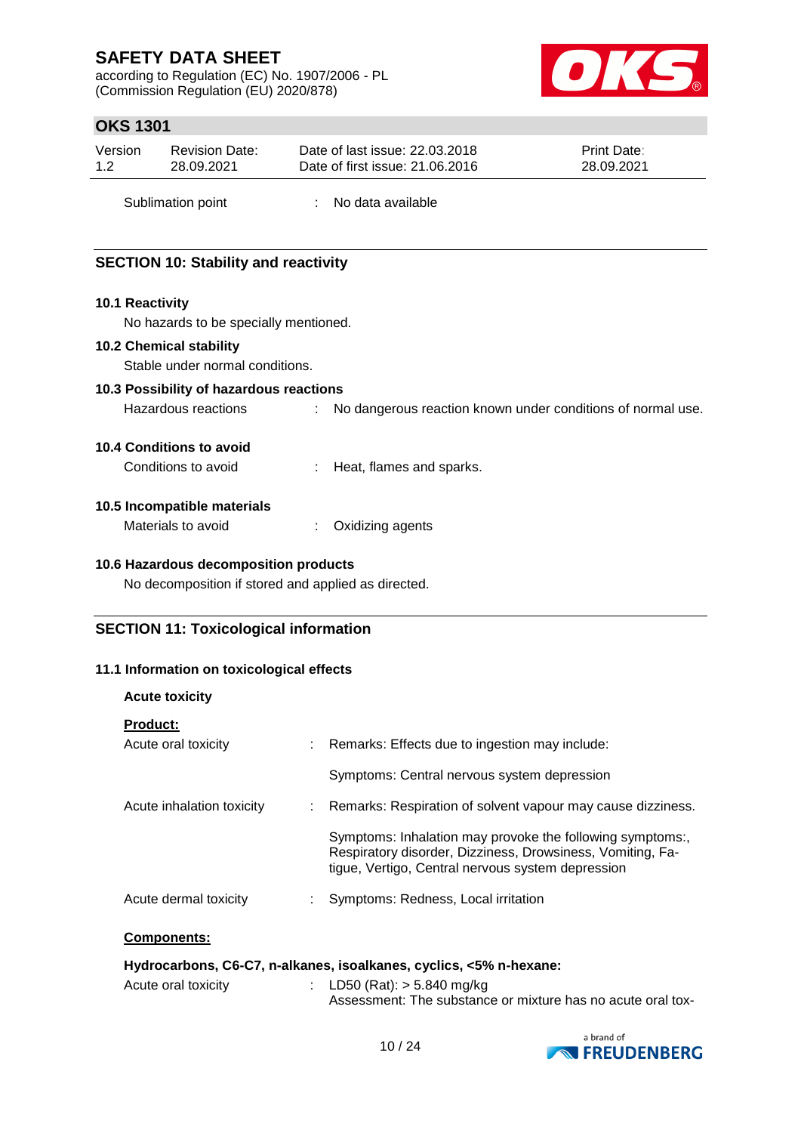according to Regulation (EC) No. 1907/2006 - PL (Commission Regulation (EU) 2020/878)



### **OKS 1301**

| Version | <b>Revision Date:</b> | Date of last issue: 22.03.2018  | <b>Print Date:</b> |
|---------|-----------------------|---------------------------------|--------------------|
| 1.2     | 28.09.2021            | Date of first issue: 21,06,2016 | 28.09.2021         |
|         |                       |                                 |                    |

Sublimation point : No data available

### **SECTION 10: Stability and reactivity**

### **10.1 Reactivity**

No hazards to be specially mentioned.

### **10.2 Chemical stability**

Stable under normal conditions.

### **10.3 Possibility of hazardous reactions**

Hazardous reactions : No dangerous reaction known under conditions of normal use.

### **10.4 Conditions to avoid**

Conditions to avoid : Heat, flames and sparks.

### **10.5 Incompatible materials**

**Acute toxicity**

| Materials to avoid | Oxidizing agents |
|--------------------|------------------|
|--------------------|------------------|

### **10.6 Hazardous decomposition products**

No decomposition if stored and applied as directed.

### **SECTION 11: Toxicological information**

### **11.1 Information on toxicological effects**

| <b>ACULE LOXICILY</b>     |                                                                                                                                                                              |
|---------------------------|------------------------------------------------------------------------------------------------------------------------------------------------------------------------------|
| <b>Product:</b>           |                                                                                                                                                                              |
| Acute oral toxicity       | : Remarks: Effects due to ingestion may include:                                                                                                                             |
|                           | Symptoms: Central nervous system depression                                                                                                                                  |
| Acute inhalation toxicity | : Remarks: Respiration of solvent vapour may cause dizziness.                                                                                                                |
|                           | Symptoms: Inhalation may provoke the following symptoms:,<br>Respiratory disorder, Dizziness, Drowsiness, Vomiting, Fa-<br>tique, Vertigo, Central nervous system depression |
| Acute dermal toxicity     | Symptoms: Redness, Local irritation                                                                                                                                          |
| <b>Components:</b>        |                                                                                                                                                                              |
|                           | Hydrocarbons, C6-C7, n-alkanes, isoalkanes, cyclics, <5% n-hexane:                                                                                                           |

| Acute oral toxicity |  | : LD50 (Rat): $>$ 5.840 mg/kg                               |  |  |  |
|---------------------|--|-------------------------------------------------------------|--|--|--|
|                     |  | Assessment: The substance or mixture has no acute oral tox- |  |  |  |

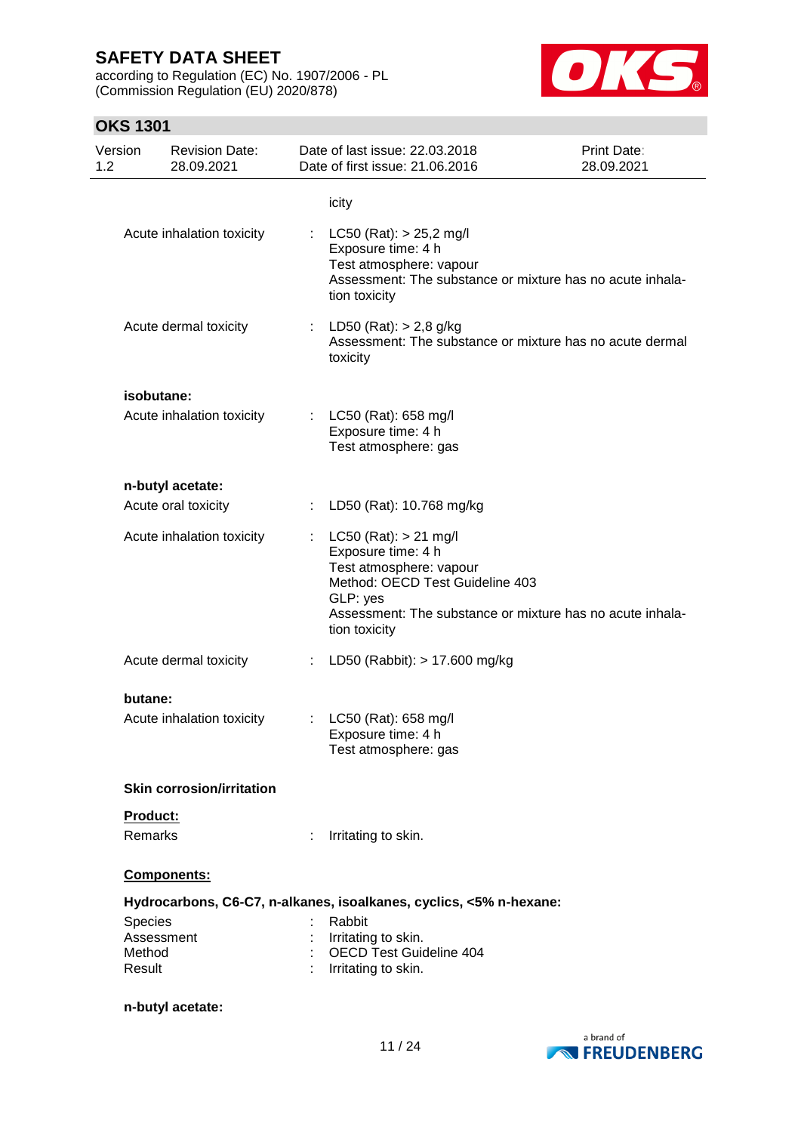according to Regulation (EC) No. 1907/2006 - PL (Commission Regulation (EU) 2020/878)



### **OKS 1301**

| Version<br>1.2   | <b>Revision Date:</b><br>28.09.2021 |    | Date of last issue: 22.03.2018<br>Date of first issue: 21.06.2016                                                                                                                                       | <b>Print Date:</b><br>28.09.2021 |
|------------------|-------------------------------------|----|---------------------------------------------------------------------------------------------------------------------------------------------------------------------------------------------------------|----------------------------------|
|                  |                                     |    | icity                                                                                                                                                                                                   |                                  |
|                  | Acute inhalation toxicity           |    | $LC50$ (Rat): $> 25,2$ mg/l<br>Exposure time: 4 h<br>Test atmosphere: vapour<br>Assessment: The substance or mixture has no acute inhala-<br>tion toxicity                                              |                                  |
|                  | Acute dermal toxicity               |    | LD50 (Rat): > 2,8 g/kg<br>Assessment: The substance or mixture has no acute dermal<br>toxicity                                                                                                          |                                  |
|                  | isobutane:                          |    |                                                                                                                                                                                                         |                                  |
|                  | Acute inhalation toxicity           |    | LC50 (Rat): 658 mg/l<br>Exposure time: 4 h<br>Test atmosphere: gas                                                                                                                                      |                                  |
|                  | n-butyl acetate:                    |    |                                                                                                                                                                                                         |                                  |
|                  | Acute oral toxicity                 |    | LD50 (Rat): 10.768 mg/kg                                                                                                                                                                                |                                  |
|                  | Acute inhalation toxicity           |    | $LC50$ (Rat): $> 21$ mg/l<br>Exposure time: 4 h<br>Test atmosphere: vapour<br>Method: OECD Test Guideline 403<br>GLP: yes<br>Assessment: The substance or mixture has no acute inhala-<br>tion toxicity |                                  |
|                  | Acute dermal toxicity               |    | LD50 (Rabbit): > 17.600 mg/kg                                                                                                                                                                           |                                  |
| butane:          |                                     |    |                                                                                                                                                                                                         |                                  |
|                  | Acute inhalation toxicity           | ÷. | LC50 (Rat): 658 mg/l<br>Exposure time: 4 h<br>Test atmosphere: gas                                                                                                                                      |                                  |
|                  | <b>Skin corrosion/irritation</b>    |    |                                                                                                                                                                                                         |                                  |
| Product:         |                                     |    |                                                                                                                                                                                                         |                                  |
| Remarks          |                                     |    | Irritating to skin.                                                                                                                                                                                     |                                  |
|                  | Components:                         |    |                                                                                                                                                                                                         |                                  |
|                  |                                     |    | Hydrocarbons, C6-C7, n-alkanes, isoalkanes, cyclics, <5% n-hexane:                                                                                                                                      |                                  |
| Species          |                                     |    | Rabbit                                                                                                                                                                                                  |                                  |
| Method<br>Result | Assessment                          |    | Irritating to skin.<br><b>OECD Test Guideline 404</b><br>Irritating to skin.                                                                                                                            |                                  |
|                  | n-butyl acetate:                    |    |                                                                                                                                                                                                         |                                  |

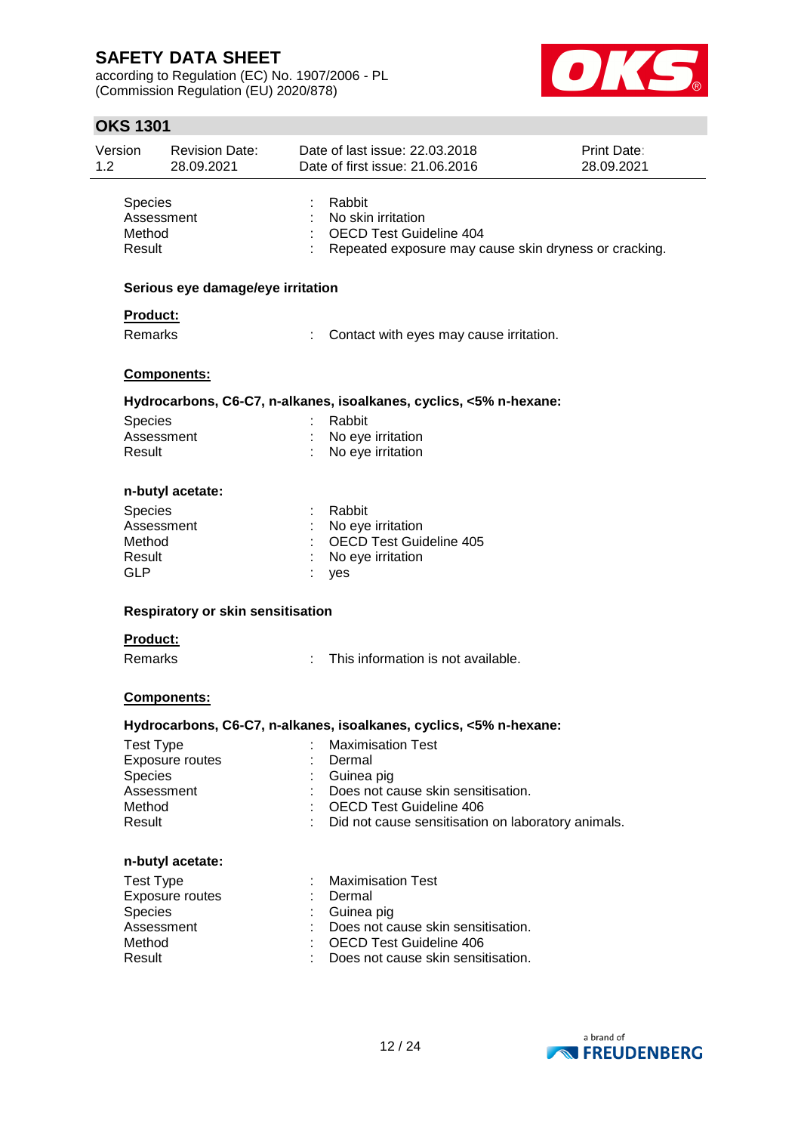according to Regulation (EC) No. 1907/2006 - PL (Commission Regulation (EU) 2020/878)



| <b>OKS 1301</b>                           |                                     |                                                                                                                         |                           |
|-------------------------------------------|-------------------------------------|-------------------------------------------------------------------------------------------------------------------------|---------------------------|
| Version<br>1.2                            | <b>Revision Date:</b><br>28.09.2021 | Date of last issue: 22.03.2018<br>Date of first issue: 21.06.2016                                                       | Print Date:<br>28.09.2021 |
| Species<br>Method<br>Result               | Assessment                          | Rabbit<br>No skin irritation<br><b>OECD Test Guideline 404</b><br>Repeated exposure may cause skin dryness or cracking. |                           |
|                                           | Serious eye damage/eye irritation   |                                                                                                                         |                           |
| Product:                                  |                                     |                                                                                                                         |                           |
| <b>Remarks</b>                            |                                     | Contact with eyes may cause irritation.                                                                                 |                           |
|                                           | Components:                         |                                                                                                                         |                           |
|                                           |                                     | Hydrocarbons, C6-C7, n-alkanes, isoalkanes, cyclics, <5% n-hexane:                                                      |                           |
| Species<br>Result                         | Assessment                          | Rabbit<br>No eye irritation<br>No eye irritation                                                                        |                           |
|                                           | n-butyl acetate:                    |                                                                                                                         |                           |
| Species<br>Method<br>Result<br><b>GLP</b> | Assessment                          | Rabbit<br>No eye irritation<br>OECD Test Guideline 405<br>No eye irritation<br>yes                                      |                           |
|                                           | Respiratory or skin sensitisation   |                                                                                                                         |                           |
| Product:                                  |                                     |                                                                                                                         |                           |
| <b>Remarks</b>                            |                                     | This information is not available.<br>÷.                                                                                |                           |
|                                           | Components:                         |                                                                                                                         |                           |
|                                           |                                     | Hydrocarbons, C6-C7, n-alkanes, isoalkanes, cyclics, <5% n-hexane:                                                      |                           |
| <b>Test Type</b><br><b>Species</b>        | Exposure routes<br>Assessment       | <b>Maximisation Test</b><br>Dermal<br>Guinea pig<br>Does not cause skin sensitisation.                                  |                           |

Method : OECD Test Guideline 406

### Result : Did not cause sensitisation on laboratory animals.

#### **n-butyl acetate:**

| Test Type       | : Maximisation Test                  |
|-----------------|--------------------------------------|
| Exposure routes | : Dermal                             |
| <b>Species</b>  | : Guinea pig                         |
| Assessment      | : Does not cause skin sensitisation. |
| Method          | : OECD Test Guideline 406            |
| Result          | : Does not cause skin sensitisation. |

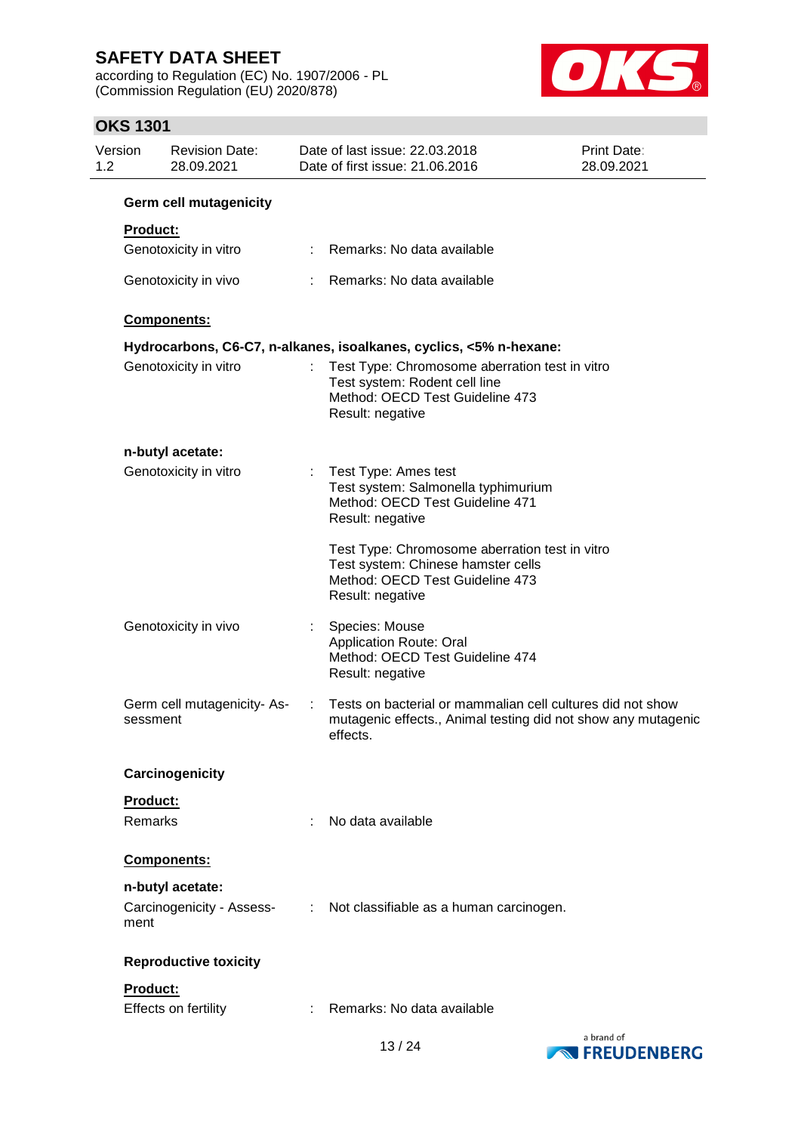according to Regulation (EC) No. 1907/2006 - PL (Commission Regulation (EU) 2020/878)



### **OKS 1301**

| Version<br>1.2 |                 | <b>Revision Date:</b><br>28.09.2021 |    | Date of last issue: 22.03.2018<br>Date of first issue: 21.06.2016                                                                           | Print Date:<br>28.09.2021 |
|----------------|-----------------|-------------------------------------|----|---------------------------------------------------------------------------------------------------------------------------------------------|---------------------------|
|                |                 | <b>Germ cell mutagenicity</b>       |    |                                                                                                                                             |                           |
|                | <b>Product:</b> |                                     |    |                                                                                                                                             |                           |
|                |                 | Genotoxicity in vitro               |    | Remarks: No data available                                                                                                                  |                           |
|                |                 | Genotoxicity in vivo                |    | Remarks: No data available                                                                                                                  |                           |
|                |                 | Components:                         |    |                                                                                                                                             |                           |
|                |                 |                                     |    | Hydrocarbons, C6-C7, n-alkanes, isoalkanes, cyclics, <5% n-hexane:                                                                          |                           |
|                |                 | Genotoxicity in vitro               |    | Test Type: Chromosome aberration test in vitro<br>Test system: Rodent cell line<br>Method: OECD Test Guideline 473<br>Result: negative      |                           |
|                |                 | n-butyl acetate:                    |    |                                                                                                                                             |                           |
|                |                 | Genotoxicity in vitro               | ÷  | Test Type: Ames test<br>Test system: Salmonella typhimurium<br>Method: OECD Test Guideline 471<br>Result: negative                          |                           |
|                |                 |                                     |    | Test Type: Chromosome aberration test in vitro<br>Test system: Chinese hamster cells<br>Method: OECD Test Guideline 473<br>Result: negative |                           |
|                |                 | Genotoxicity in vivo                | t. | Species: Mouse<br><b>Application Route: Oral</b><br>Method: OECD Test Guideline 474<br>Result: negative                                     |                           |
|                | sessment        | Germ cell mutagenicity-As-          | ÷  | Tests on bacterial or mammalian cell cultures did not show<br>mutagenic effects., Animal testing did not show any mutagenic<br>effects.     |                           |
|                |                 | Carcinogenicity                     |    |                                                                                                                                             |                           |
|                | Product:        |                                     |    |                                                                                                                                             |                           |
|                | Remarks         |                                     |    | No data available                                                                                                                           |                           |
|                |                 | <b>Components:</b>                  |    |                                                                                                                                             |                           |
|                |                 | n-butyl acetate:                    |    |                                                                                                                                             |                           |
|                | ment            | Carcinogenicity - Assess-           | ÷  | Not classifiable as a human carcinogen.                                                                                                     |                           |
|                |                 | <b>Reproductive toxicity</b>        |    |                                                                                                                                             |                           |
|                | Product:        |                                     |    |                                                                                                                                             |                           |
|                |                 | Effects on fertility                |    | Remarks: No data available                                                                                                                  |                           |

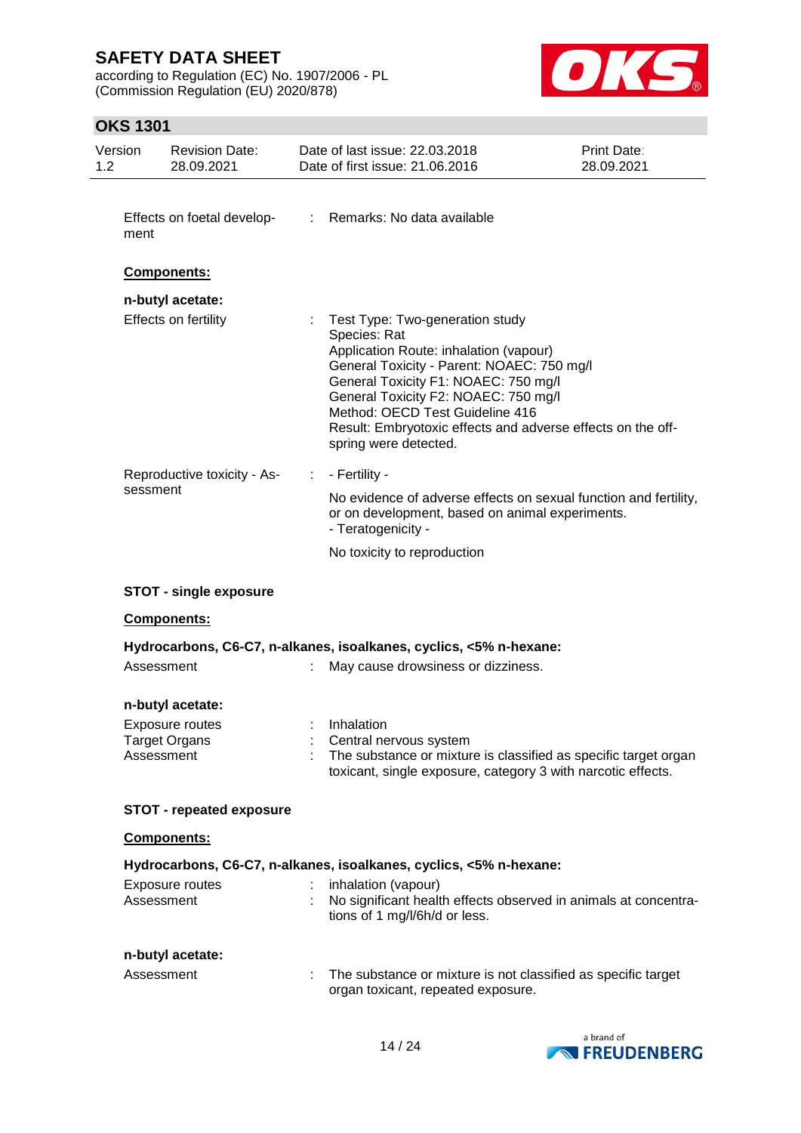according to Regulation (EC) No. 1907/2006 - PL (Commission Regulation (EU) 2020/878)



### **OKS 1301**

| Version<br>1.2 |            | <b>Revision Date:</b><br>28.09.2021                         | Date of last issue: 22.03.2018<br>Date of first issue: 21.06.2016                                                                                                                                                                                                                                                                                  | <b>Print Date:</b><br>28.09.2021 |
|----------------|------------|-------------------------------------------------------------|----------------------------------------------------------------------------------------------------------------------------------------------------------------------------------------------------------------------------------------------------------------------------------------------------------------------------------------------------|----------------------------------|
|                | ment       | Effects on foetal develop-                                  | : Remarks: No data available                                                                                                                                                                                                                                                                                                                       |                                  |
|                |            | Components:                                                 |                                                                                                                                                                                                                                                                                                                                                    |                                  |
|                |            | n-butyl acetate:<br>Effects on fertility                    | Test Type: Two-generation study<br>Species: Rat<br>Application Route: inhalation (vapour)<br>General Toxicity - Parent: NOAEC: 750 mg/l<br>General Toxicity F1: NOAEC: 750 mg/l<br>General Toxicity F2: NOAEC: 750 mg/l<br>Method: OECD Test Guideline 416<br>Result: Embryotoxic effects and adverse effects on the off-<br>spring were detected. |                                  |
|                | sessment   | Reproductive toxicity - As-                                 | $: -$ Fertility -<br>No evidence of adverse effects on sexual function and fertility,<br>or on development, based on animal experiments.<br>- Teratogenicity -                                                                                                                                                                                     |                                  |
|                |            |                                                             | No toxicity to reproduction                                                                                                                                                                                                                                                                                                                        |                                  |
|                |            | <b>STOT - single exposure</b>                               |                                                                                                                                                                                                                                                                                                                                                    |                                  |
|                |            | Components:                                                 |                                                                                                                                                                                                                                                                                                                                                    |                                  |
|                | Assessment |                                                             | Hydrocarbons, C6-C7, n-alkanes, isoalkanes, cyclics, <5% n-hexane:<br>May cause drowsiness or dizziness.                                                                                                                                                                                                                                           |                                  |
|                |            |                                                             |                                                                                                                                                                                                                                                                                                                                                    |                                  |
|                | Assessment | n-butyl acetate:<br>Exposure routes<br><b>Target Organs</b> | Inhalation<br>Central nervous system<br>The substance or mixture is classified as specific target organ<br>toxicant, single exposure, category 3 with narcotic effects.                                                                                                                                                                            |                                  |
|                |            | <b>STOT - repeated exposure</b>                             |                                                                                                                                                                                                                                                                                                                                                    |                                  |
|                |            | Components:                                                 |                                                                                                                                                                                                                                                                                                                                                    |                                  |
|                | Assessment | Exposure routes                                             | Hydrocarbons, C6-C7, n-alkanes, isoalkanes, cyclics, <5% n-hexane:<br>inhalation (vapour)<br>No significant health effects observed in animals at concentra-<br>tions of 1 mg/l/6h/d or less.                                                                                                                                                      |                                  |
|                | Assessment | n-butyl acetate:                                            | The substance or mixture is not classified as specific target<br>organ toxicant, repeated exposure.                                                                                                                                                                                                                                                |                                  |

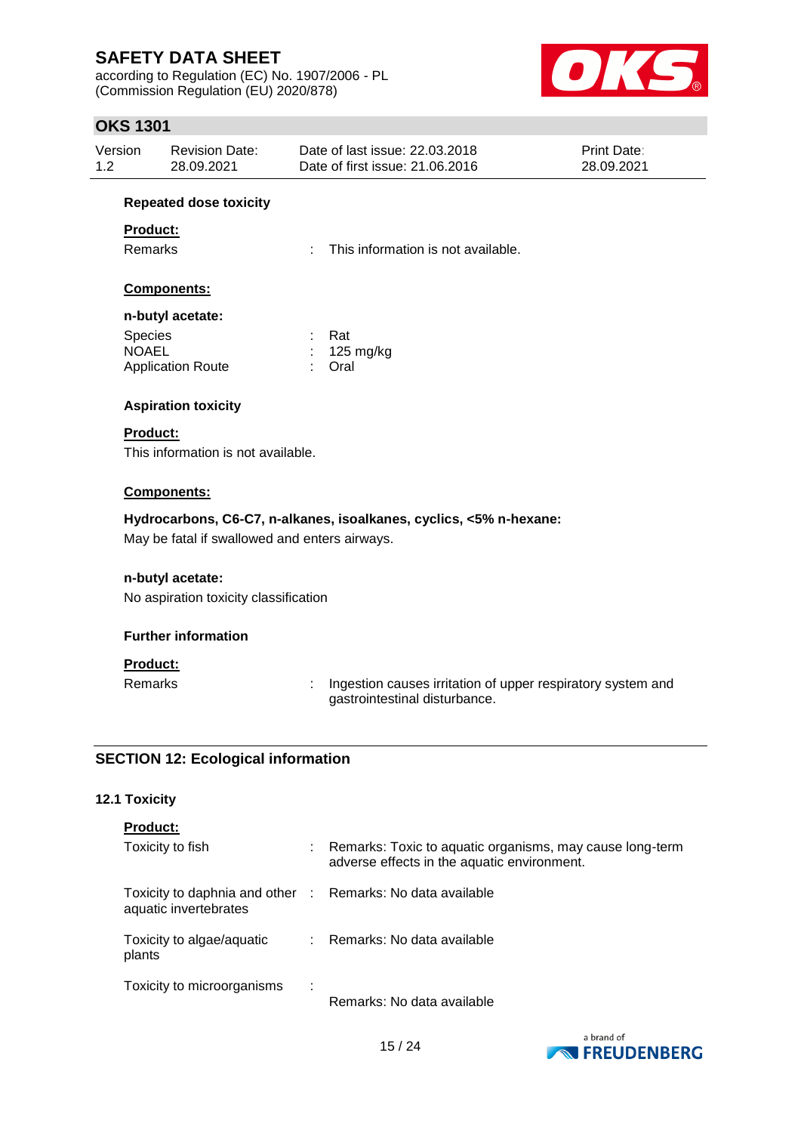according to Regulation (EC) No. 1907/2006 - PL (Commission Regulation (EU) 2020/878)



### **OKS 1301**

| Version | Revision Date: | Date of last issue: 22,03,2018  | <b>Print Date:</b> |
|---------|----------------|---------------------------------|--------------------|
| 1.2     | 28.09.2021     | Date of first issue: 21.06.2016 | 28.09.2021         |

#### **Repeated dose toxicity**

### **Product:**

Remarks : This information is not available.

### **Components:**

#### **n-butyl acetate:**

| <b>Species</b>           | : Rat                 |
|--------------------------|-----------------------|
| <b>NOAEL</b>             | $: 125 \text{ mg/kg}$ |
| <b>Application Route</b> | : Oral                |

### **Aspiration toxicity**

### **Product:**

This information is not available.

### **Components:**

### **Hydrocarbons, C6-C7, n-alkanes, isoalkanes, cyclics, <5% n-hexane:**

May be fatal if swallowed and enters airways.

### **n-butyl acetate:**

No aspiration toxicity classification

### **Further information**

### **Product:**

Remarks : Ingestion causes irritation of upper respiratory system and gastrointestinal disturbance.

### **SECTION 12: Ecological information**

### **12.1 Toxicity**

|  | <b>Product:</b> |
|--|-----------------|
|  |                 |

| Toxicity to fish                                                                    | Remarks: Toxic to aquatic organisms, may cause long-term<br>adverse effects in the aquatic environment. |
|-------------------------------------------------------------------------------------|---------------------------------------------------------------------------------------------------------|
| Toxicity to daphnia and other : Remarks: No data available<br>aquatic invertebrates |                                                                                                         |
| Toxicity to algae/aquatic<br>plants                                                 | Remarks: No data available                                                                              |
| Toxicity to microorganisms                                                          | Remarks: No data available                                                                              |

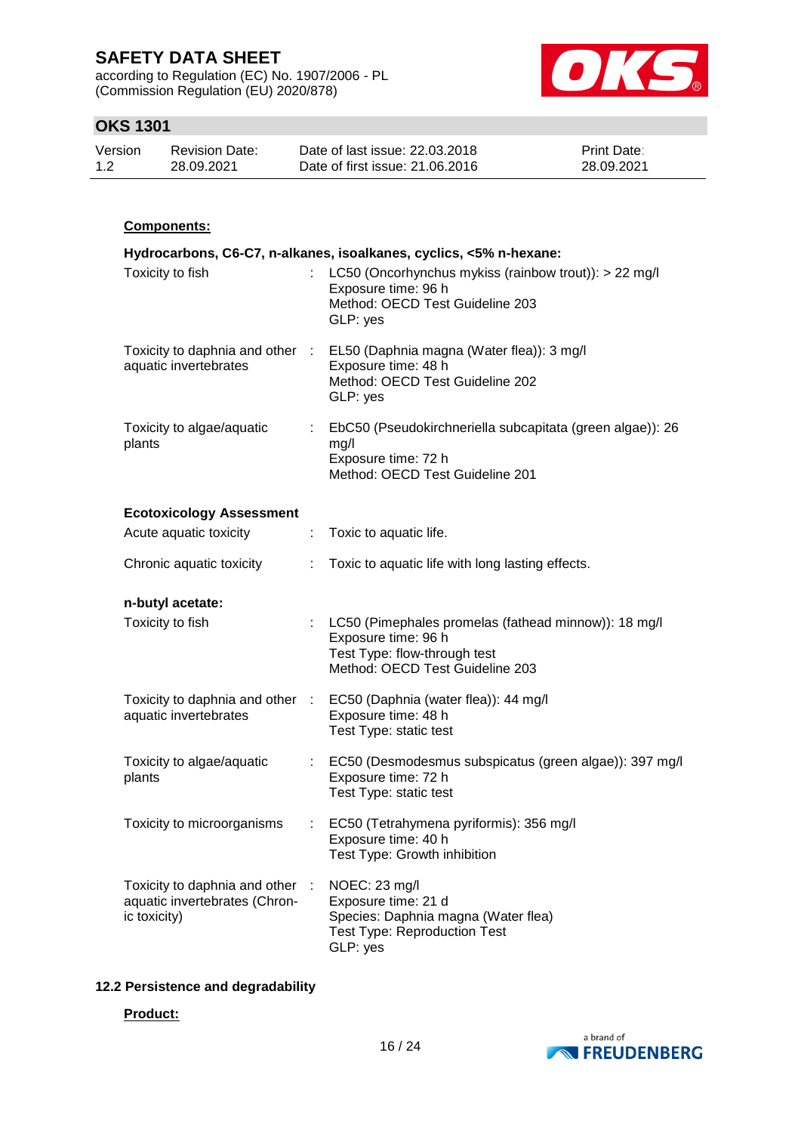according to Regulation (EC) No. 1907/2006 - PL (Commission Regulation (EU) 2020/878)



### **OKS 1301**

| Version | <b>Revision Date:</b> | Date of last issue: 22.03.2018  | <b>Print Date:</b> |
|---------|-----------------------|---------------------------------|--------------------|
| 1.2     | 28.09.2021            | Date of first issue: 21,06,2016 | 28.09.2021         |

### **Components:**

|                                                                                |    | Hydrocarbons, C6-C7, n-alkanes, isoalkanes, cyclics, <5% n-hexane:                                                                               |
|--------------------------------------------------------------------------------|----|--------------------------------------------------------------------------------------------------------------------------------------------------|
| Toxicity to fish                                                               | ÷. | LC50 (Oncorhynchus mykiss (rainbow trout)): > 22 mg/l<br>Exposure time: 96 h<br>Method: OECD Test Guideline 203<br>GLP: yes                      |
| Toxicity to daphnia and other :<br>aquatic invertebrates                       |    | EL50 (Daphnia magna (Water flea)): 3 mg/l<br>Exposure time: 48 h<br>Method: OECD Test Guideline 202<br>GLP: yes                                  |
| Toxicity to algae/aquatic<br>plants                                            |    | EbC50 (Pseudokirchneriella subcapitata (green algae)): 26<br>mg/l<br>Exposure time: 72 h<br>Method: OECD Test Guideline 201                      |
| <b>Ecotoxicology Assessment</b>                                                |    |                                                                                                                                                  |
| Acute aquatic toxicity                                                         | ÷. | Toxic to aquatic life.                                                                                                                           |
| Chronic aquatic toxicity                                                       | ÷  | Toxic to aquatic life with long lasting effects.                                                                                                 |
| n-butyl acetate:                                                               |    |                                                                                                                                                  |
| Toxicity to fish                                                               |    | : LC50 (Pimephales promelas (fathead minnow)): 18 mg/l<br>Exposure time: 96 h<br>Test Type: flow-through test<br>Method: OECD Test Guideline 203 |
| aquatic invertebrates                                                          |    | Toxicity to daphnia and other : EC50 (Daphnia (water flea)): 44 mg/l<br>Exposure time: 48 h<br>Test Type: static test                            |
| Toxicity to algae/aquatic<br>plants                                            |    | EC50 (Desmodesmus subspicatus (green algae)): 397 mg/l<br>Exposure time: 72 h<br>Test Type: static test                                          |
| Toxicity to microorganisms                                                     |    | EC50 (Tetrahymena pyriformis): 356 mg/l<br>Exposure time: 40 h<br>Test Type: Growth inhibition                                                   |
| Toxicity to daphnia and other<br>aquatic invertebrates (Chron-<br>ic toxicity) |    | NOEC: 23 mg/l<br>Exposure time: 21 d<br>Species: Daphnia magna (Water flea)<br><b>Test Type: Reproduction Test</b><br>GLP: yes                   |

### **12.2 Persistence and degradability**

#### **Product:**

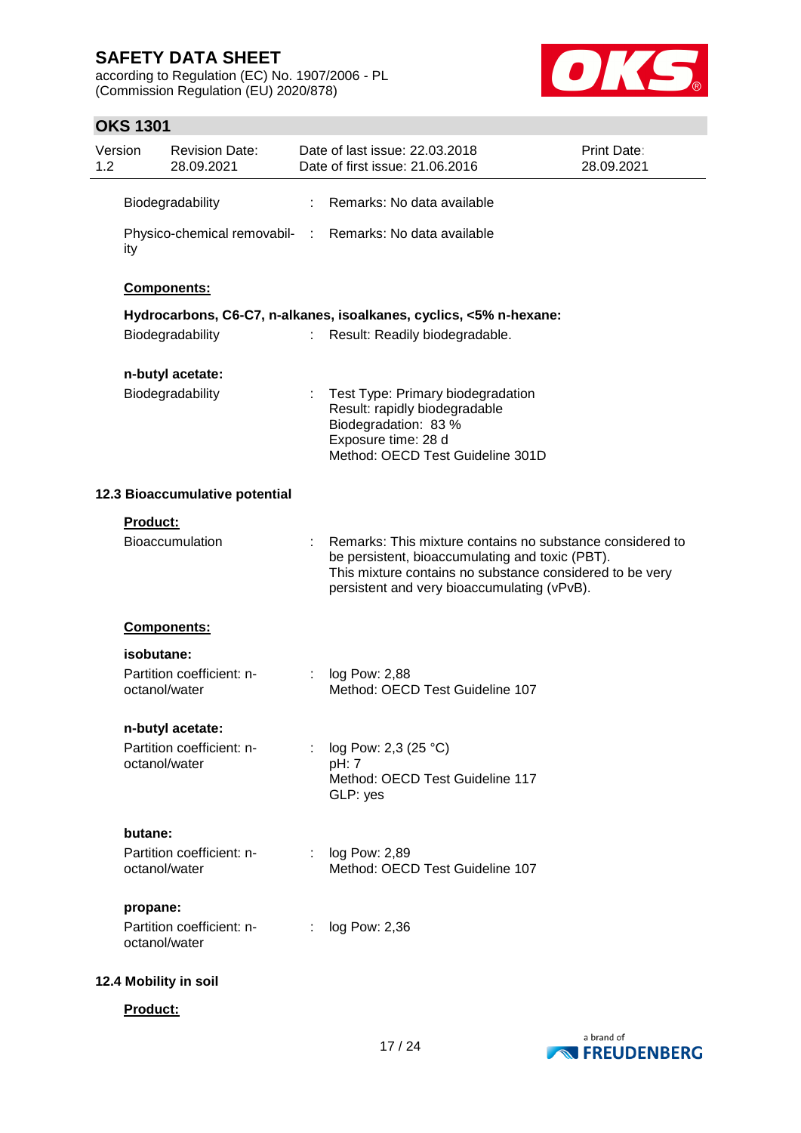according to Regulation (EC) No. 1907/2006 - PL (Commission Regulation (EU) 2020/878)



### **OKS 1301**

| Version<br>1.2 |               | <b>Revision Date:</b><br>28.09.2021 |     | Date of last issue: 22.03.2018<br>Print Date:<br>Date of first issue: 21.06.2016<br>28.09.2021                                                                                                                          |  |  |  |  |
|----------------|---------------|-------------------------------------|-----|-------------------------------------------------------------------------------------------------------------------------------------------------------------------------------------------------------------------------|--|--|--|--|
|                |               | Biodegradability                    | ÷   | Remarks: No data available                                                                                                                                                                                              |  |  |  |  |
|                | ity           |                                     |     | Physico-chemical removabil- : Remarks: No data available                                                                                                                                                                |  |  |  |  |
|                |               | Components:                         |     |                                                                                                                                                                                                                         |  |  |  |  |
|                |               |                                     |     | Hydrocarbons, C6-C7, n-alkanes, isoalkanes, cyclics, <5% n-hexane:                                                                                                                                                      |  |  |  |  |
|                |               | Biodegradability                    |     | Result: Readily biodegradable.                                                                                                                                                                                          |  |  |  |  |
|                |               | n-butyl acetate:                    |     |                                                                                                                                                                                                                         |  |  |  |  |
|                |               | Biodegradability                    |     | Test Type: Primary biodegradation<br>Result: rapidly biodegradable<br>Biodegradation: 83 %<br>Exposure time: 28 d<br>Method: OECD Test Guideline 301D                                                                   |  |  |  |  |
|                |               | 12.3 Bioaccumulative potential      |     |                                                                                                                                                                                                                         |  |  |  |  |
|                | Product:      |                                     |     |                                                                                                                                                                                                                         |  |  |  |  |
|                |               | <b>Bioaccumulation</b>              |     | Remarks: This mixture contains no substance considered to<br>be persistent, bioaccumulating and toxic (PBT).<br>This mixture contains no substance considered to be very<br>persistent and very bioaccumulating (vPvB). |  |  |  |  |
|                |               | Components:                         |     |                                                                                                                                                                                                                         |  |  |  |  |
|                | isobutane:    |                                     |     |                                                                                                                                                                                                                         |  |  |  |  |
|                | octanol/water | Partition coefficient: n-           |     | log Pow: 2,88<br>Method: OECD Test Guideline 107                                                                                                                                                                        |  |  |  |  |
|                |               | n-butyl acetate:                    |     |                                                                                                                                                                                                                         |  |  |  |  |
|                | octanol/water | Partition coefficient: n-           |     | log Pow: 2,3 (25 °C)<br>pH: 7<br>Method: OECD Test Guideline 117<br>GLP: yes                                                                                                                                            |  |  |  |  |
|                | butane:       |                                     |     |                                                                                                                                                                                                                         |  |  |  |  |
|                | octanol/water | Partition coefficient: n-           |     | log Pow: 2,89<br>Method: OECD Test Guideline 107                                                                                                                                                                        |  |  |  |  |
|                | propane:      |                                     |     |                                                                                                                                                                                                                         |  |  |  |  |
|                | octanol/water | Partition coefficient: n-           | t i | log Pow: 2,36                                                                                                                                                                                                           |  |  |  |  |
|                |               | 12.4 Mobility in soil               |     |                                                                                                                                                                                                                         |  |  |  |  |

**Product:**

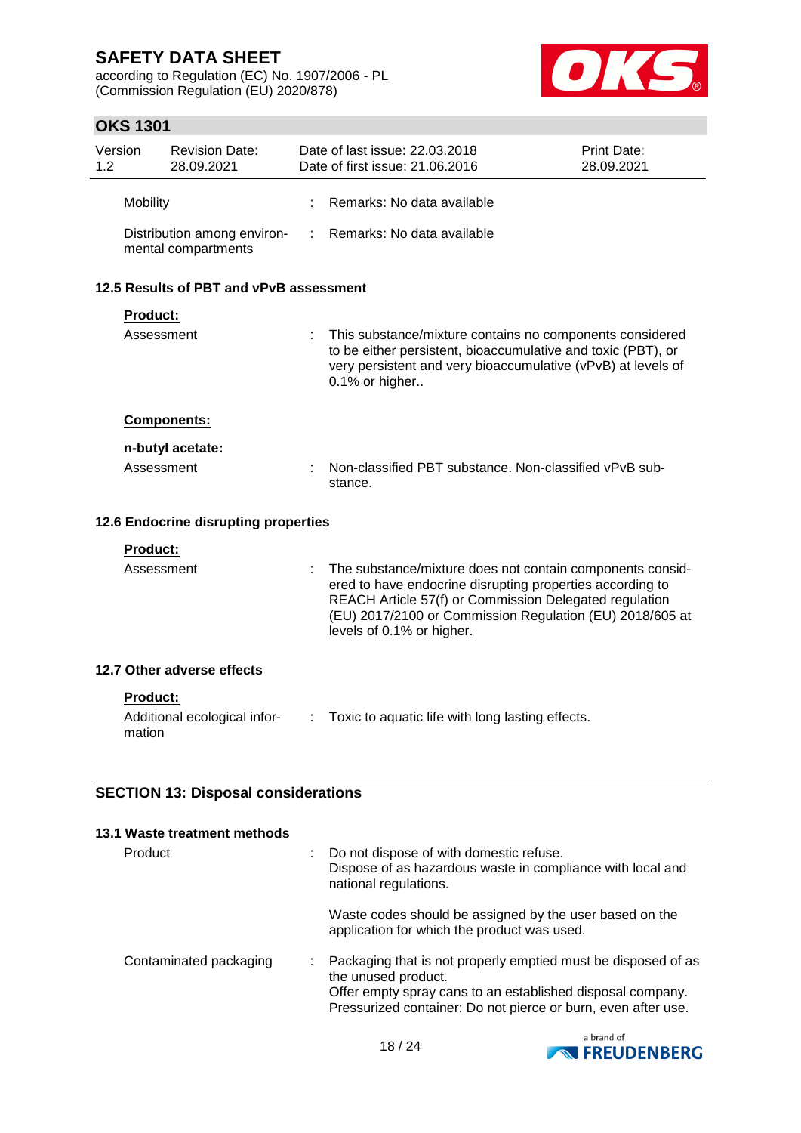according to Regulation (EC) No. 1907/2006 - PL (Commission Regulation (EU) 2020/878)



### **OKS 1301**

| 1.2                                        | Version                              | <b>Revision Date:</b><br>28.09.2021                |   | Date of last issue: 22.03.2018<br>Date of first issue: 21.06.2016                                                                                                                                                                                                         | <b>Print Date:</b><br>28.09.2021 |  |  |
|--------------------------------------------|--------------------------------------|----------------------------------------------------|---|---------------------------------------------------------------------------------------------------------------------------------------------------------------------------------------------------------------------------------------------------------------------------|----------------------------------|--|--|
|                                            | Mobility                             |                                                    |   | Remarks: No data available                                                                                                                                                                                                                                                |                                  |  |  |
|                                            |                                      | Distribution among environ-<br>mental compartments | ÷ | Remarks: No data available                                                                                                                                                                                                                                                |                                  |  |  |
|                                            |                                      | 12.5 Results of PBT and vPvB assessment            |   |                                                                                                                                                                                                                                                                           |                                  |  |  |
|                                            | Product:                             |                                                    |   |                                                                                                                                                                                                                                                                           |                                  |  |  |
|                                            | Assessment                           |                                                    |   | This substance/mixture contains no components considered<br>to be either persistent, bioaccumulative and toxic (PBT), or<br>very persistent and very bioaccumulative (vPvB) at levels of<br>0.1% or higher                                                                |                                  |  |  |
|                                            |                                      | Components:                                        |   |                                                                                                                                                                                                                                                                           |                                  |  |  |
|                                            |                                      | n-butyl acetate:                                   |   |                                                                                                                                                                                                                                                                           |                                  |  |  |
|                                            | Assessment                           |                                                    |   | Non-classified PBT substance. Non-classified vPvB sub-<br>stance.                                                                                                                                                                                                         |                                  |  |  |
|                                            | 12.6 Endocrine disrupting properties |                                                    |   |                                                                                                                                                                                                                                                                           |                                  |  |  |
|                                            | <b>Product:</b>                      |                                                    |   |                                                                                                                                                                                                                                                                           |                                  |  |  |
|                                            | Assessment                           |                                                    |   | The substance/mixture does not contain components consid-<br>ered to have endocrine disrupting properties according to<br>REACH Article 57(f) or Commission Delegated regulation<br>(EU) 2017/2100 or Commission Regulation (EU) 2018/605 at<br>levels of 0.1% or higher. |                                  |  |  |
|                                            |                                      | 12.7 Other adverse effects                         |   |                                                                                                                                                                                                                                                                           |                                  |  |  |
|                                            | <b>Product:</b><br>mation            | Additional ecological infor-                       | ÷ | Toxic to aquatic life with long lasting effects.                                                                                                                                                                                                                          |                                  |  |  |
| <b>SECTION 13: Disposal considerations</b> |                                      |                                                    |   |                                                                                                                                                                                                                                                                           |                                  |  |  |
|                                            |                                      | 13.1 Waste treatment methods                       |   |                                                                                                                                                                                                                                                                           |                                  |  |  |
|                                            | Product                              |                                                    |   | Do not dispose of with domestic refuse.<br>Dispose of as hazardous waste in compliance with local and<br>national regulations.                                                                                                                                            |                                  |  |  |

Waste codes should be assigned by the user based on the application for which the product was used.

| Offer empty spray cans to an established disposal company.<br>Pressurized container: Do not pierce or burn, even after use. | Contaminated packaging |  | : Packaging that is not properly emptied must be disposed of as<br>the unused product. |
|-----------------------------------------------------------------------------------------------------------------------------|------------------------|--|----------------------------------------------------------------------------------------|
|-----------------------------------------------------------------------------------------------------------------------------|------------------------|--|----------------------------------------------------------------------------------------|

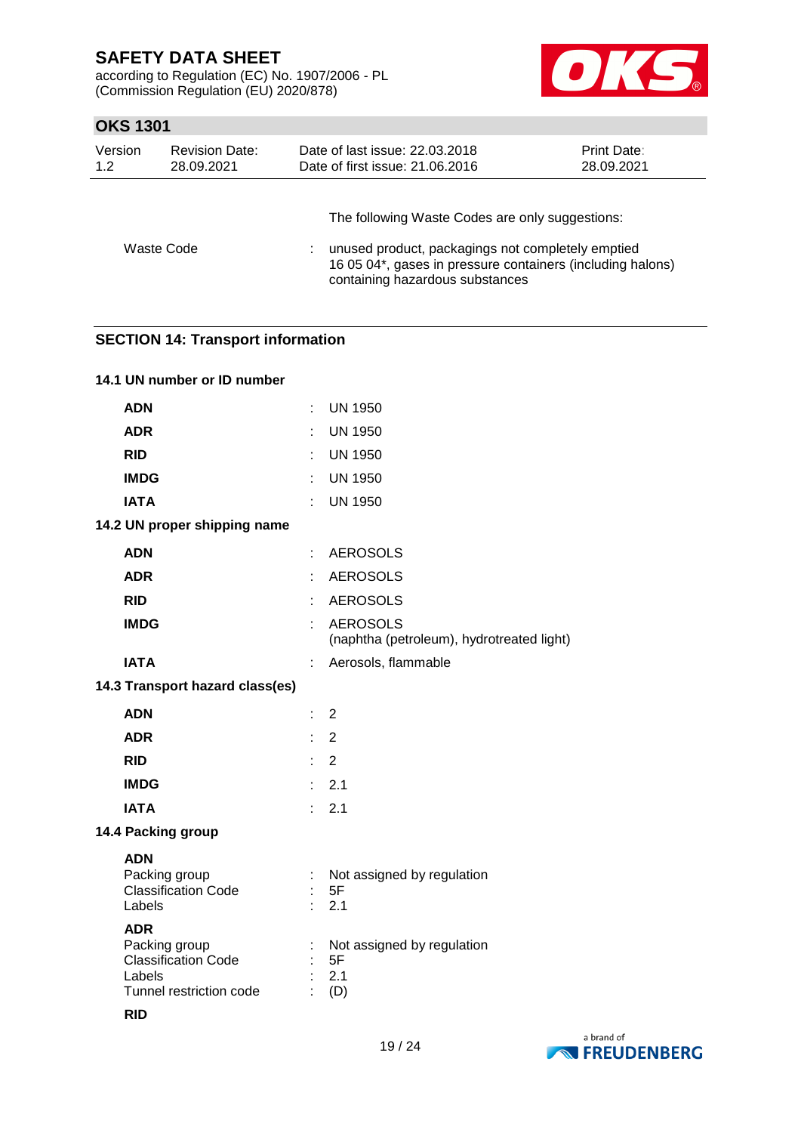according to Regulation (EC) No. 1907/2006 - PL (Commission Regulation (EU) 2020/878)



### **OKS 1301**

| Version    | <b>Revision Date:</b> | Date of last issue: 22.03.2018                                                                                                                                                                        | Print Date: |
|------------|-----------------------|-------------------------------------------------------------------------------------------------------------------------------------------------------------------------------------------------------|-------------|
| 1.2        | 28.09.2021            | Date of first issue: 21.06.2016                                                                                                                                                                       | 28.09.2021  |
| Waste Code |                       | The following Waste Codes are only suggestions:<br>unused product, packagings not completely emptied<br>16 05 04*, gases in pressure containers (including halons)<br>containing hazardous substances |             |

### **SECTION 14: Transport information**

| 14.1 UN number or ID number                                                                                  |                 |                                                              |
|--------------------------------------------------------------------------------------------------------------|-----------------|--------------------------------------------------------------|
| <b>ADN</b>                                                                                                   | ÷.              | <b>UN 1950</b>                                               |
| <b>ADR</b>                                                                                                   | ł.              | <b>UN 1950</b>                                               |
| <b>RID</b>                                                                                                   |                 | <b>UN 1950</b>                                               |
| <b>IMDG</b>                                                                                                  |                 | <b>UN 1950</b>                                               |
| <b>IATA</b>                                                                                                  | ŧ.              | <b>UN 1950</b>                                               |
| 14.2 UN proper shipping name                                                                                 |                 |                                                              |
| <b>ADN</b>                                                                                                   | ÷               | <b>AEROSOLS</b>                                              |
| <b>ADR</b>                                                                                                   |                 | <b>AEROSOLS</b>                                              |
| <b>RID</b>                                                                                                   |                 | <b>AEROSOLS</b>                                              |
| <b>IMDG</b>                                                                                                  |                 | <b>AEROSOLS</b><br>(naphtha (petroleum), hydrotreated light) |
| <b>IATA</b>                                                                                                  | ÷               | Aerosols, flammable                                          |
| 14.3 Transport hazard class(es)                                                                              |                 |                                                              |
| <b>ADN</b>                                                                                                   | ÷.              | $\overline{2}$                                               |
| <b>ADR</b>                                                                                                   | ÷               | $\overline{2}$                                               |
| <b>RID</b>                                                                                                   |                 | $\overline{2}$                                               |
| <b>IMDG</b>                                                                                                  | ÷.              | 2.1                                                          |
| <b>IATA</b>                                                                                                  | t.              | 2.1                                                          |
| 14.4 Packing group                                                                                           |                 |                                                              |
| <b>ADN</b><br>Packing group<br><b>Classification Code</b><br>Labels                                          | ÷.<br>$\bullet$ | Not assigned by regulation<br>5F<br>2.1                      |
| <b>ADR</b><br>Packing group<br><b>Classification Code</b><br>Labels<br>Tunnel restriction code<br><b>RID</b> | ÷<br>ł,         | Not assigned by regulation<br>5F<br>2.1<br>(D)               |

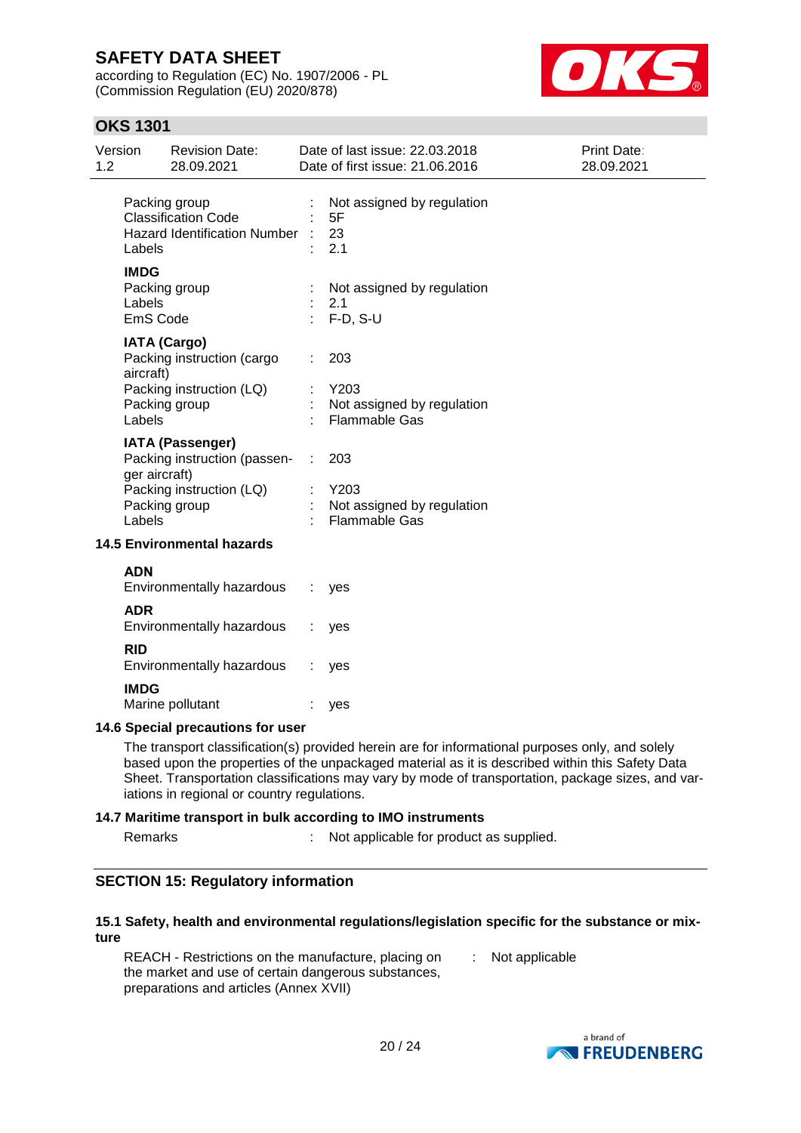according to Regulation (EC) No. 1907/2006 - PL (Commission Regulation (EU) 2020/878)



### **OKS 1301**

| Version<br><b>Revision Date:</b><br>1.2<br>28.09.2021                                                                                                                  | Date of last issue: 22.03.2018<br>Date of first issue: 21.06.2016 | Print Date:<br>28.09.2021 |
|------------------------------------------------------------------------------------------------------------------------------------------------------------------------|-------------------------------------------------------------------|---------------------------|
| Packing group<br><b>Classification Code</b><br><b>Hazard Identification Number</b><br>Labels                                                                           | Not assigned by regulation<br>5F<br>23<br>2.1                     |                           |
| <b>IMDG</b><br>Packing group<br>Labels<br>EmS Code                                                                                                                     | Not assigned by regulation<br>2.1<br>$F-D, S-U$                   |                           |
| <b>IATA (Cargo)</b><br>Packing instruction (cargo<br>aircraft)<br>Packing instruction (LQ)<br>Packing group<br>Labels                                                  | 203<br>Y203<br>Not assigned by regulation<br><b>Flammable Gas</b> |                           |
| <b>IATA (Passenger)</b><br>Packing instruction (passen- :<br>ger aircraft)<br>Packing instruction (LQ)<br>Packing group<br>Labels<br><b>14.5 Environmental hazards</b> | 203<br>Y203<br>Not assigned by regulation<br><b>Flammable Gas</b> |                           |
| <b>ADN</b>                                                                                                                                                             |                                                                   |                           |
| Environmentally hazardous<br><b>ADR</b>                                                                                                                                | yes                                                               |                           |
| Environmentally hazardous                                                                                                                                              | yes                                                               |                           |
| <b>RID</b><br>Environmentally hazardous<br><b>IMDG</b>                                                                                                                 | yes                                                               |                           |

#### **14.6 Special precautions for user**

Marine pollutant : yes

The transport classification(s) provided herein are for informational purposes only, and solely based upon the properties of the unpackaged material as it is described within this Safety Data Sheet. Transportation classifications may vary by mode of transportation, package sizes, and variations in regional or country regulations.

#### **14.7 Maritime transport in bulk according to IMO instruments**

Remarks : Not applicable for product as supplied.

### **SECTION 15: Regulatory information**

#### **15.1 Safety, health and environmental regulations/legislation specific for the substance or mixture**

REACH - Restrictions on the manufacture, placing on the market and use of certain dangerous substances, preparations and articles (Annex XVII) : Not applicable

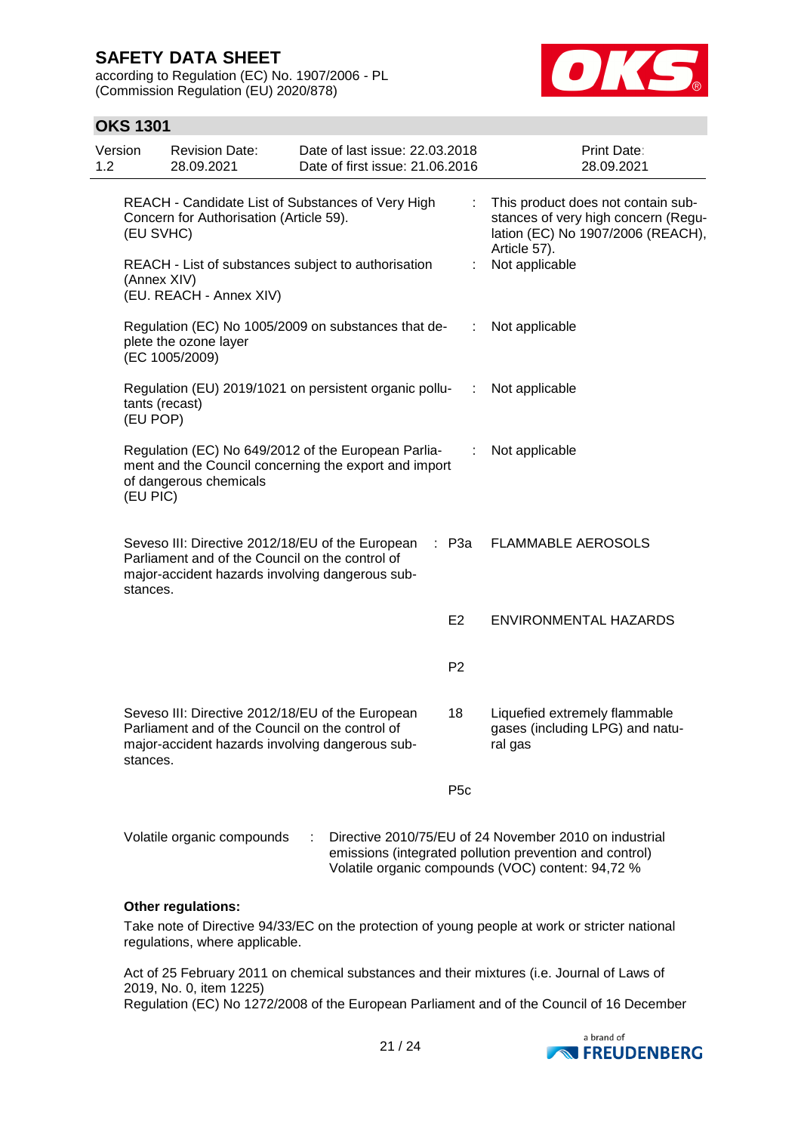according to Regulation (EC) No. 1907/2006 - PL (Commission Regulation (EU) 2020/878)



### **OKS 1301**

| Version<br>1.2 |                            | <b>Revision Date:</b><br>28.09.2021                                                                                                                    | Date of last issue: 22.03.2018<br>Date of first issue: 21.06.2016 |                 | Print Date:<br>28.09.2021                                                                                                                                              |
|----------------|----------------------------|--------------------------------------------------------------------------------------------------------------------------------------------------------|-------------------------------------------------------------------|-----------------|------------------------------------------------------------------------------------------------------------------------------------------------------------------------|
|                | (EU SVHC)                  | REACH - Candidate List of Substances of Very High<br>Concern for Authorisation (Article 59).                                                           |                                                                   |                 | This product does not contain sub-<br>stances of very high concern (Regu-<br>lation (EC) No 1907/2006 (REACH),                                                         |
|                | (Annex XIV)                | REACH - List of substances subject to authorisation<br>(EU. REACH - Annex XIV)                                                                         |                                                                   | ÷               | Article 57).<br>Not applicable                                                                                                                                         |
|                |                            | Regulation (EC) No 1005/2009 on substances that de-<br>plete the ozone layer<br>(EC 1005/2009)                                                         |                                                                   | ÷               | Not applicable                                                                                                                                                         |
|                | tants (recast)<br>(EU POP) | Regulation (EU) 2019/1021 on persistent organic pollu-                                                                                                 |                                                                   | ÷.              | Not applicable                                                                                                                                                         |
|                | (EU PIC)                   | Regulation (EC) No 649/2012 of the European Parlia-<br>ment and the Council concerning the export and import<br>of dangerous chemicals                 |                                                                   | ÷               | Not applicable                                                                                                                                                         |
|                | stances.                   | Seveso III: Directive 2012/18/EU of the European<br>Parliament and of the Council on the control of<br>major-accident hazards involving dangerous sub- |                                                                   | : P3a           | <b>FLAMMABLE AEROSOLS</b>                                                                                                                                              |
|                |                            |                                                                                                                                                        |                                                                   | E <sub>2</sub>  | <b>ENVIRONMENTAL HAZARDS</b>                                                                                                                                           |
|                |                            |                                                                                                                                                        |                                                                   | P <sub>2</sub>  |                                                                                                                                                                        |
|                | stances.                   | Seveso III: Directive 2012/18/EU of the European<br>Parliament and of the Council on the control of<br>major-accident hazards involving dangerous sub- |                                                                   | 18              | Liquefied extremely flammable<br>gases (including LPG) and natu-<br>ral gas                                                                                            |
|                |                            |                                                                                                                                                        |                                                                   | P <sub>5c</sub> |                                                                                                                                                                        |
|                |                            | Volatile organic compounds                                                                                                                             |                                                                   |                 | Directive 2010/75/EU of 24 November 2010 on industrial<br>emissions (integrated pollution prevention and control)<br>Volatile organic compounds (VOC) content: 94,72 % |

#### **Other regulations:**

Take note of Directive 94/33/EC on the protection of young people at work or stricter national regulations, where applicable.

Act of 25 February 2011 on chemical substances and their mixtures (i.e. Journal of Laws of 2019, No. 0, item 1225)

Regulation (EC) No 1272/2008 of the European Parliament and of the Council of 16 December

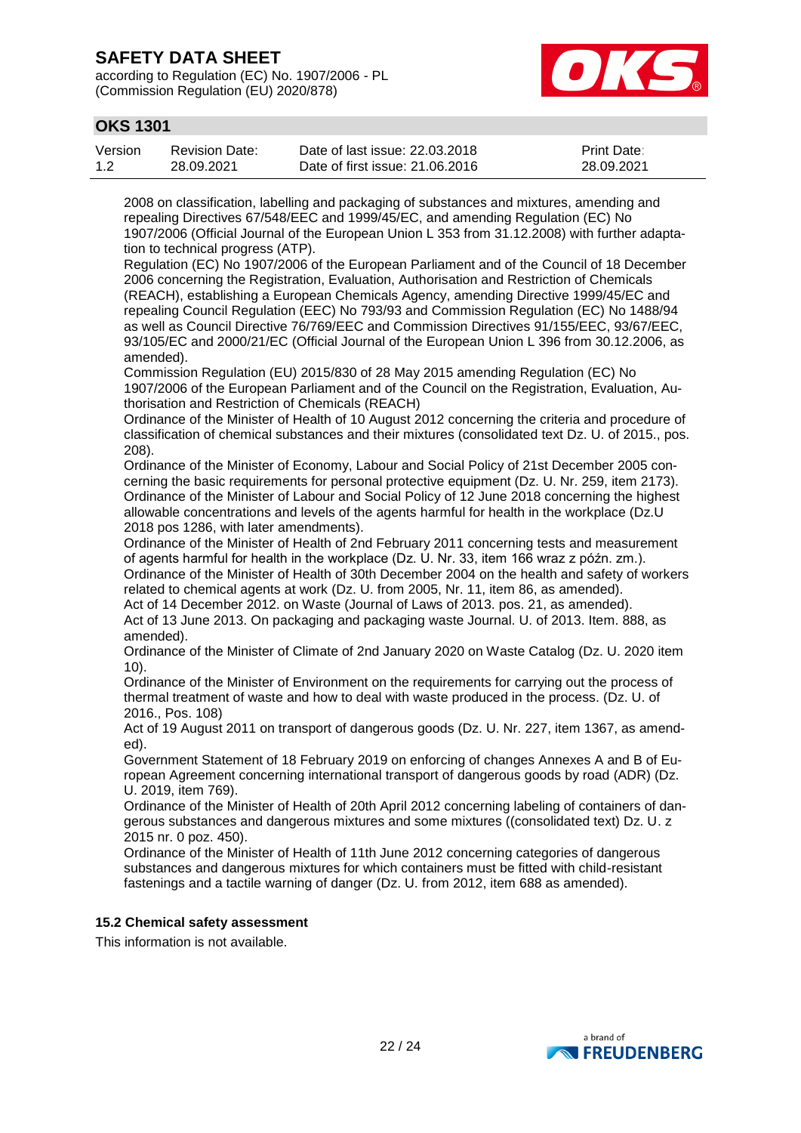according to Regulation (EC) No. 1907/2006 - PL (Commission Regulation (EU) 2020/878)



### **OKS 1301**

| Version | <b>Revision Date:</b> | Date of last issue: 22,03,2018  | <b>Print Date:</b> |
|---------|-----------------------|---------------------------------|--------------------|
| 1.2     | 28.09.2021            | Date of first issue: 21,06,2016 | 28.09.2021         |

2008 on classification, labelling and packaging of substances and mixtures, amending and repealing Directives 67/548/EEC and 1999/45/EC, and amending Regulation (EC) No 1907/2006 (Official Journal of the European Union L 353 from 31.12.2008) with further adaptation to technical progress (ATP).

Regulation (EC) No 1907/2006 of the European Parliament and of the Council of 18 December 2006 concerning the Registration, Evaluation, Authorisation and Restriction of Chemicals (REACH), establishing a European Chemicals Agency, amending Directive 1999/45/EC and repealing Council Regulation (EEC) No 793/93 and Commission Regulation (EC) No 1488/94 as well as Council Directive 76/769/EEC and Commission Directives 91/155/EEC, 93/67/EEC, 93/105/EC and 2000/21/EC (Official Journal of the European Union L 396 from 30.12.2006, as amended).

Commission Regulation (EU) 2015/830 of 28 May 2015 amending Regulation (EC) No 1907/2006 of the European Parliament and of the Council on the Registration, Evaluation, Authorisation and Restriction of Chemicals (REACH)

Ordinance of the Minister of Health of 10 August 2012 concerning the criteria and procedure of classification of chemical substances and their mixtures (consolidated text Dz. U. of 2015., pos. 208).

Ordinance of the Minister of Economy, Labour and Social Policy of 21st December 2005 concerning the basic requirements for personal protective equipment (Dz. U. Nr. 259, item 2173). Ordinance of the Minister of Labour and Social Policy of 12 June 2018 concerning the highest allowable concentrations and levels of the agents harmful for health in the workplace (Dz.U 2018 pos 1286, with later amendments).

Ordinance of the Minister of Health of 2nd February 2011 concerning tests and measurement of agents harmful for health in the workplace (Dz. U. Nr. 33, item 166 wraz z późn. zm.).

Ordinance of the Minister of Health of 30th December 2004 on the health and safety of workers related to chemical agents at work (Dz. U. from 2005, Nr. 11, item 86, as amended).

Act of 14 December 2012. on Waste (Journal of Laws of 2013. pos. 21, as amended). Act of 13 June 2013. On packaging and packaging waste Journal. U. of 2013. Item. 888, as amended).

Ordinance of the Minister of Climate of 2nd January 2020 on Waste Catalog (Dz. U. 2020 item 10).

Ordinance of the Minister of Environment on the requirements for carrying out the process of thermal treatment of waste and how to deal with waste produced in the process. (Dz. U. of 2016., Pos. 108)

Act of 19 August 2011 on transport of dangerous goods (Dz. U. Nr. 227, item 1367, as amended).

Government Statement of 18 February 2019 on enforcing of changes Annexes A and B of European Agreement concerning international transport of dangerous goods by road (ADR) (Dz. U. 2019, item 769).

Ordinance of the Minister of Health of 20th April 2012 concerning labeling of containers of dangerous substances and dangerous mixtures and some mixtures ((consolidated text) Dz. U. z 2015 nr. 0 poz. 450).

Ordinance of the Minister of Health of 11th June 2012 concerning categories of dangerous substances and dangerous mixtures for which containers must be fitted with child-resistant fastenings and a tactile warning of danger (Dz. U. from 2012, item 688 as amended).

### **15.2 Chemical safety assessment**

This information is not available.

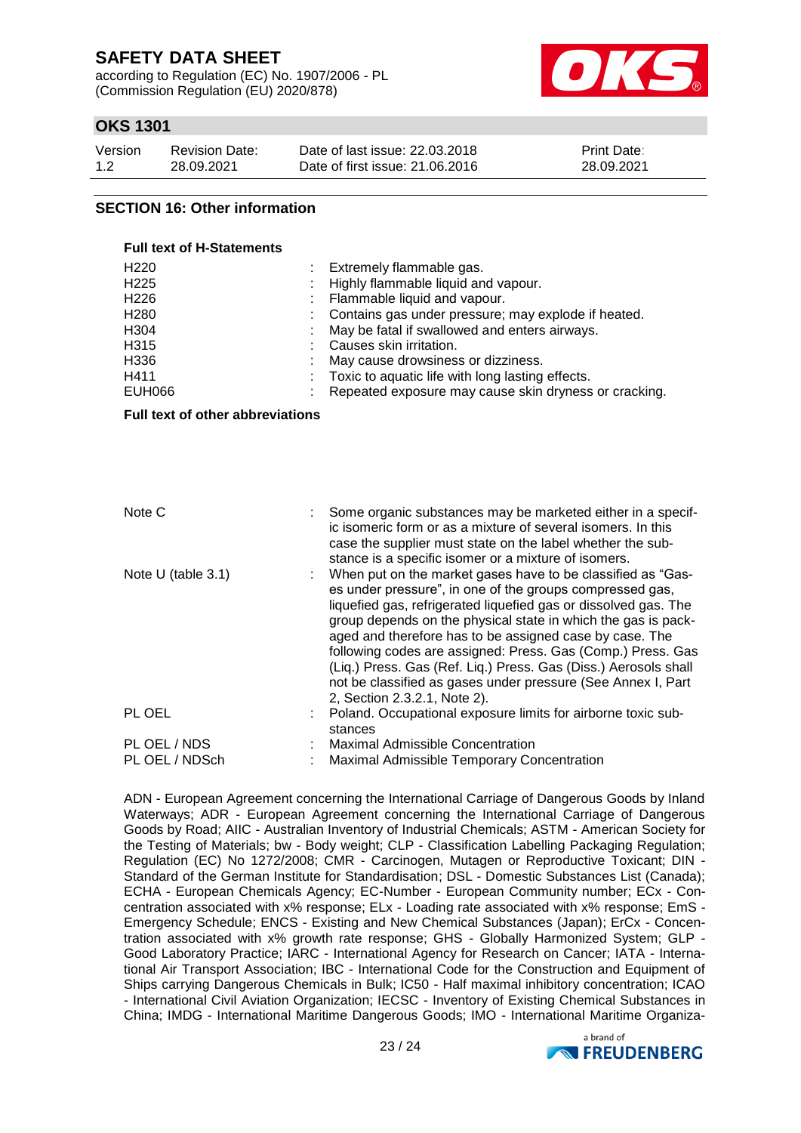according to Regulation (EC) No. 1907/2006 - PL (Commission Regulation (EU) 2020/878)



### **OKS 1301**

| Version | <b>Revision Date:</b> | Date of last issue: 22.03.2018  | <b>Print Date:</b> |
|---------|-----------------------|---------------------------------|--------------------|
| 1.2     | 28.09.2021            | Date of first issue: 21,06,2016 | 28.09.2021         |

### **SECTION 16: Other information**

| <b>Full text of H-Statements</b>                                                                                              |   |                                                                                                                                                                                                                                                                                                                                                                                                                                                                                                                                                          |  |  |  |
|-------------------------------------------------------------------------------------------------------------------------------|---|----------------------------------------------------------------------------------------------------------------------------------------------------------------------------------------------------------------------------------------------------------------------------------------------------------------------------------------------------------------------------------------------------------------------------------------------------------------------------------------------------------------------------------------------------------|--|--|--|
| H <sub>220</sub><br>H <sub>225</sub><br>H <sub>226</sub><br>H <sub>280</sub><br>H304<br>H315<br>H336<br>H411<br><b>EUH066</b> |   | Extremely flammable gas.<br>Highly flammable liquid and vapour.<br>Flammable liquid and vapour.<br>Contains gas under pressure; may explode if heated.<br>May be fatal if swallowed and enters airways.<br>Causes skin irritation.<br>May cause drowsiness or dizziness.<br>Toxic to aquatic life with long lasting effects.<br>Repeated exposure may cause skin dryness or cracking.                                                                                                                                                                    |  |  |  |
| Full text of other abbreviations                                                                                              |   |                                                                                                                                                                                                                                                                                                                                                                                                                                                                                                                                                          |  |  |  |
|                                                                                                                               |   |                                                                                                                                                                                                                                                                                                                                                                                                                                                                                                                                                          |  |  |  |
| Note C                                                                                                                        | ÷ | Some organic substances may be marketed either in a specif-<br>ic isomeric form or as a mixture of several isomers. In this<br>case the supplier must state on the label whether the sub-<br>stance is a specific isomer or a mixture of isomers.                                                                                                                                                                                                                                                                                                        |  |  |  |
| Note $U$ (table 3.1)                                                                                                          |   | When put on the market gases have to be classified as "Gas-<br>es under pressure", in one of the groups compressed gas,<br>liquefied gas, refrigerated liquefied gas or dissolved gas. The<br>group depends on the physical state in which the gas is pack-<br>aged and therefore has to be assigned case by case. The<br>following codes are assigned: Press. Gas (Comp.) Press. Gas<br>(Liq.) Press. Gas (Ref. Liq.) Press. Gas (Diss.) Aerosols shall<br>not be classified as gases under pressure (See Annex I, Part<br>2, Section 2.3.2.1, Note 2). |  |  |  |
| PL OEL                                                                                                                        |   | Poland. Occupational exposure limits for airborne toxic sub-<br>stances                                                                                                                                                                                                                                                                                                                                                                                                                                                                                  |  |  |  |
| PL OEL / NDS<br>PL OEL / NDSch                                                                                                |   | Maximal Admissible Concentration<br>Maximal Admissible Temporary Concentration                                                                                                                                                                                                                                                                                                                                                                                                                                                                           |  |  |  |

ADN - European Agreement concerning the International Carriage of Dangerous Goods by Inland Waterways; ADR - European Agreement concerning the International Carriage of Dangerous Goods by Road; AIIC - Australian Inventory of Industrial Chemicals; ASTM - American Society for the Testing of Materials; bw - Body weight; CLP - Classification Labelling Packaging Regulation; Regulation (EC) No 1272/2008; CMR - Carcinogen, Mutagen or Reproductive Toxicant; DIN - Standard of the German Institute for Standardisation; DSL - Domestic Substances List (Canada); ECHA - European Chemicals Agency; EC-Number - European Community number; ECx - Concentration associated with x% response; ELx - Loading rate associated with x% response; EmS - Emergency Schedule; ENCS - Existing and New Chemical Substances (Japan); ErCx - Concentration associated with x% growth rate response; GHS - Globally Harmonized System; GLP - Good Laboratory Practice; IARC - International Agency for Research on Cancer; IATA - International Air Transport Association; IBC - International Code for the Construction and Equipment of Ships carrying Dangerous Chemicals in Bulk; IC50 - Half maximal inhibitory concentration; ICAO - International Civil Aviation Organization; IECSC - Inventory of Existing Chemical Substances in China; IMDG - International Maritime Dangerous Goods; IMO - International Maritime Organiza-